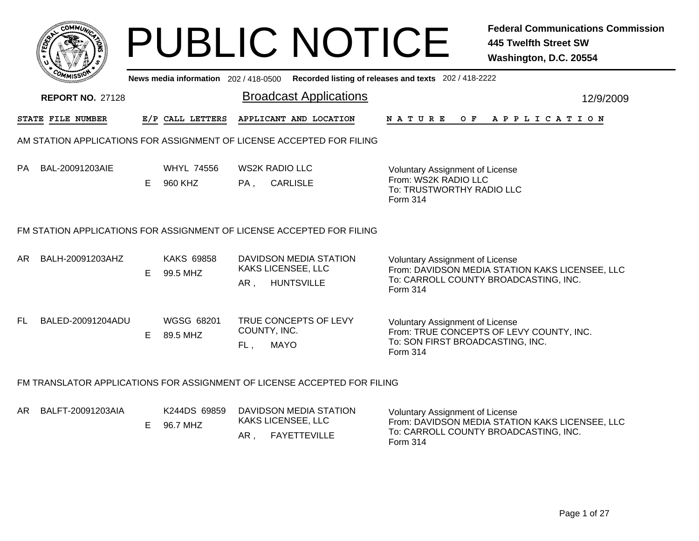|     | ∙омм≀∂                                                                   |    |                                     |                                    | <b>PUBLIC NOTICE</b>                          |                                                                                                         | <b>Federal Communications Commission</b><br><b>445 Twelfth Street SW</b><br>Washington, D.C. 20554 |
|-----|--------------------------------------------------------------------------|----|-------------------------------------|------------------------------------|-----------------------------------------------|---------------------------------------------------------------------------------------------------------|----------------------------------------------------------------------------------------------------|
|     |                                                                          |    | News media information 202/418-0500 |                                    |                                               | Recorded listing of releases and texts 202 / 418-2222                                                   |                                                                                                    |
|     | <b>REPORT NO. 27128</b>                                                  |    |                                     |                                    | <b>Broadcast Applications</b>                 |                                                                                                         | 12/9/2009                                                                                          |
|     | STATE FILE NUMBER                                                        |    | E/P CALL LETTERS                    |                                    | APPLICANT AND LOCATION                        | <b>NATURE</b><br>O F                                                                                    | APPLICATION                                                                                        |
|     | AM STATION APPLICATIONS FOR ASSIGNMENT OF LICENSE ACCEPTED FOR FILING    |    |                                     |                                    |                                               |                                                                                                         |                                                                                                    |
| PA  | BAL-20091203AIE                                                          | E. | <b>WHYL 74556</b><br>960 KHZ        | <b>WS2K RADIO LLC</b><br>PA,       | <b>CARLISLE</b>                               | <b>Voluntary Assignment of License</b><br>From: WS2K RADIO LLC<br>To: TRUSTWORTHY RADIO LLC<br>Form 314 |                                                                                                    |
|     | FM STATION APPLICATIONS FOR ASSIGNMENT OF LICENSE ACCEPTED FOR FILING    |    |                                     |                                    |                                               |                                                                                                         |                                                                                                    |
| AR. | BALH-20091203AHZ                                                         | E. | <b>KAKS 69858</b><br>99.5 MHZ       | KAKS LICENSEE, LLC<br>AR,          | DAVIDSON MEDIA STATION<br><b>HUNTSVILLE</b>   | <b>Voluntary Assignment of License</b><br>Form 314                                                      | From: DAVIDSON MEDIA STATION KAKS LICENSEE, LLC<br>To: CARROLL COUNTY BROADCASTING, INC.           |
| FL. | BALED-20091204ADU                                                        | E. | WGSG 68201<br>89.5 MHZ              | COUNTY, INC.<br><b>MAYO</b><br>FL, | TRUE CONCEPTS OF LEVY                         | Voluntary Assignment of License<br>To: SON FIRST BROADCASTING, INC.<br>Form 314                         | From: TRUE CONCEPTS OF LEVY COUNTY, INC.                                                           |
|     | FM TRANSLATOR APPLICATIONS FOR ASSIGNMENT OF LICENSE ACCEPTED FOR FILING |    |                                     |                                    |                                               |                                                                                                         |                                                                                                    |
| AR  | BALFT-20091203AIA                                                        | E. | K244DS 69859<br>96.7 MHZ            | <b>KAKS LICENSEE, LLC</b><br>AR.   | DAVIDSON MEDIA STATION<br><b>FAYETTEVILLE</b> | <b>Voluntary Assignment of License</b><br>Form 314                                                      | From: DAVIDSON MEDIA STATION KAKS LICENSEE, LLC<br>To: CARROLL COUNTY BROADCASTING, INC.           |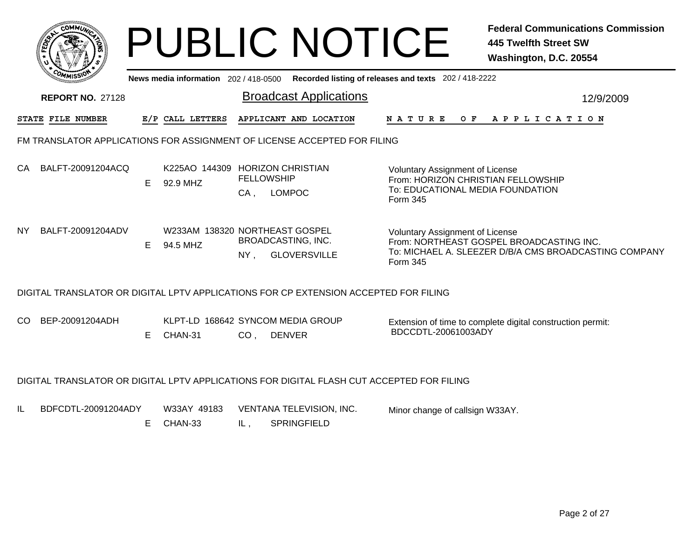|                            |                             | <b>PUBLIC NOTICE</b>                                                                         | <b>Federal Communications Commission</b><br><b>445 Twelfth Street SW</b><br>Washington, D.C. 20554                                                      |
|----------------------------|-----------------------------|----------------------------------------------------------------------------------------------|---------------------------------------------------------------------------------------------------------------------------------------------------------|
|                            |                             | News media information 202 / 418-0500 Recorded listing of releases and texts 202 / 418-2222  |                                                                                                                                                         |
| <b>REPORT NO. 27128</b>    |                             | <b>Broadcast Applications</b>                                                                | 12/9/2009                                                                                                                                               |
| STATE FILE NUMBER          | E/P CALL LETTERS            | APPLICANT AND LOCATION                                                                       | NATURE OF<br>A P P L I C A T I O N                                                                                                                      |
|                            |                             | FM TRANSLATOR APPLICATIONS FOR ASSIGNMENT OF LICENSE ACCEPTED FOR FILING                     |                                                                                                                                                         |
| BALFT-20091204ACQ<br>CA    | 92.9 MHZ<br>E.              | K225AO 144309 HORIZON CHRISTIAN<br><b>FELLOWSHIP</b><br><b>LOMPOC</b><br>CA,                 | Voluntary Assignment of License<br>From: HORIZON CHRISTIAN FELLOWSHIP<br>To: EDUCATIONAL MEDIA FOUNDATION<br>Form 345                                   |
| BALFT-20091204ADV<br>NY.   | Е<br>94.5 MHZ               | W233AM 138320 NORTHEAST GOSPEL<br><b>BROADCASTING, INC.</b><br><b>GLOVERSVILLE</b><br>$NY$ , | <b>Voluntary Assignment of License</b><br>From: NORTHEAST GOSPEL BROADCASTING INC.<br>To: MICHAEL A. SLEEZER D/B/A CMS BROADCASTING COMPANY<br>Form 345 |
|                            |                             | DIGITAL TRANSLATOR OR DIGITAL LPTV APPLICATIONS FOR CP EXTENSION ACCEPTED FOR FILING         |                                                                                                                                                         |
| CO.<br>BEP-20091204ADH     | Е<br>CHAN-31                | KLPT-LD 168642 SYNCOM MEDIA GROUP<br>CO <sub>1</sub><br><b>DENVER</b>                        | Extension of time to complete digital construction permit:<br>BDCCDTL-20061003ADY                                                                       |
|                            |                             | DIGITAL TRANSLATOR OR DIGITAL LPTV APPLICATIONS FOR DIGITAL FLASH CUT ACCEPTED FOR FILING    |                                                                                                                                                         |
| IL.<br>BDFCDTL-20091204ADY | W33AY 49183<br>Е<br>CHAN-33 | <b>VENTANA TELEVISION, INC.</b><br>IL,<br><b>SPRINGFIELD</b>                                 | Minor change of callsign W33AY.                                                                                                                         |
|                            |                             |                                                                                              |                                                                                                                                                         |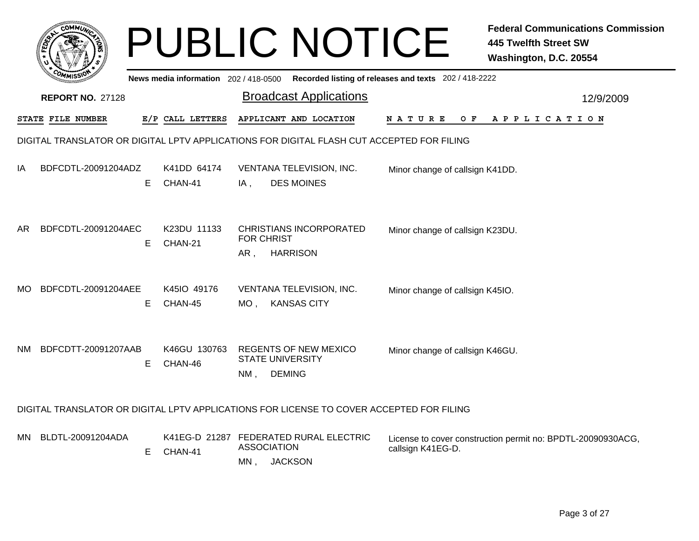|     |                          |    |                                     | <b>PUBLIC NOTICE</b>                                                                      |                                                       | <b>Federal Communications Commission</b><br><b>445 Twelfth Street SW</b><br>Washington, D.C. 20554 |
|-----|--------------------------|----|-------------------------------------|-------------------------------------------------------------------------------------------|-------------------------------------------------------|----------------------------------------------------------------------------------------------------|
|     |                          |    | News media information 202/418-0500 |                                                                                           | Recorded listing of releases and texts 202 / 418-2222 |                                                                                                    |
|     | <b>REPORT NO. 27128</b>  |    |                                     | <b>Broadcast Applications</b>                                                             |                                                       | 12/9/2009                                                                                          |
|     | <b>STATE FILE NUMBER</b> |    | E/P CALL LETTERS                    | APPLICANT AND LOCATION                                                                    | <b>NATURE</b><br>O F                                  | APPLICATION                                                                                        |
|     |                          |    |                                     | DIGITAL TRANSLATOR OR DIGITAL LPTV APPLICATIONS FOR DIGITAL FLASH CUT ACCEPTED FOR FILING |                                                       |                                                                                                    |
| ΙA  | BDFCDTL-20091204ADZ      | E  | K41DD 64174<br>CHAN-41              | VENTANA TELEVISION, INC.<br><b>DES MOINES</b><br>IA,                                      | Minor change of callsign K41DD.                       |                                                                                                    |
| AR  | BDFCDTL-20091204AEC      | Е  | K23DU 11133<br>CHAN-21              | <b>CHRISTIANS INCORPORATED</b><br><b>FOR CHRIST</b><br>AR,<br><b>HARRISON</b>             | Minor change of callsign K23DU.                       |                                                                                                    |
| MO. | BDFCDTL-20091204AEE      | E. | K45IO 49176<br>CHAN-45              | VENTANA TELEVISION, INC.<br><b>KANSAS CITY</b><br>MO,                                     | Minor change of callsign K45IO.                       |                                                                                                    |
| NΜ  | BDFCDTT-20091207AAB      | E. | K46GU 130763<br>CHAN-46             | <b>REGENTS OF NEW MEXICO</b><br><b>STATE UNIVERSITY</b><br><b>DEMING</b><br>NM,           | Minor change of callsign K46GU.                       |                                                                                                    |
|     |                          |    |                                     | DIGITAL TRANSLATOR OR DIGITAL LPTV APPLICATIONS FOR LICENSE TO COVER ACCEPTED FOR FILING  |                                                       |                                                                                                    |
|     | MN BLDTL-20091204ADA     | E. | CHAN-41                             | K41EG-D 21287 FEDERATED RURAL ELECTRIC<br><b>ASSOCIATION</b><br>MN, JACKSON               | callsign K41EG-D.                                     | License to cover construction permit no: BPDTL-20090930ACG,                                        |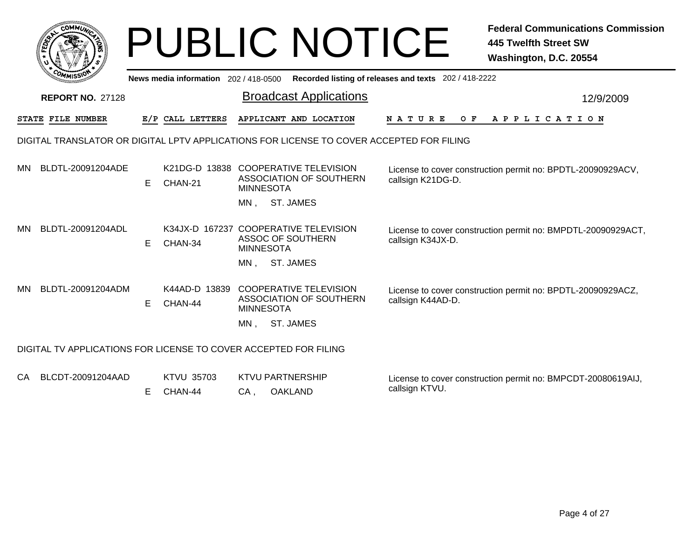|      |                                                                                          |   |                                                  |                         | <b>PUBLIC NOTICE</b>                                     |                                                                                             | <b>Federal Communications Commission</b><br><b>445 Twelfth Street SW</b><br>Washington, D.C. 20554 |
|------|------------------------------------------------------------------------------------------|---|--------------------------------------------------|-------------------------|----------------------------------------------------------|---------------------------------------------------------------------------------------------|----------------------------------------------------------------------------------------------------|
|      |                                                                                          |   |                                                  |                         |                                                          | News media information 202 / 418-0500 Recorded listing of releases and texts 202 / 418-2222 |                                                                                                    |
|      | <b>REPORT NO. 27128</b>                                                                  |   |                                                  |                         | <b>Broadcast Applications</b>                            |                                                                                             | 12/9/2009                                                                                          |
|      | <b>STATE FILE NUMBER</b>                                                                 |   | E/P CALL LETTERS                                 |                         | APPLICANT AND LOCATION                                   | <b>NATURE</b>                                                                               | OF APPLICATION                                                                                     |
|      | DIGITAL TRANSLATOR OR DIGITAL LPTV APPLICATIONS FOR LICENSE TO COVER ACCEPTED FOR FILING |   |                                                  |                         |                                                          |                                                                                             |                                                                                                    |
| MN.  | BLDTL-20091204ADE                                                                        | Е | K21DG-D 13838 COOPERATIVE TELEVISION<br>CHAN-21  | <b>MINNESOTA</b>        | ASSOCIATION OF SOUTHERN                                  | callsign K21DG-D.                                                                           | License to cover construction permit no: BPDTL-20090929ACV,                                        |
|      |                                                                                          |   |                                                  | MN.                     | ST. JAMES                                                |                                                                                             |                                                                                                    |
| MN   | BLDTL-20091204ADL                                                                        | Е | K34JX-D 167237 COOPERATIVE TELEVISION<br>CHAN-34 | <b>MINNESOTA</b>        | ASSOC OF SOUTHERN                                        | callsign K34JX-D.                                                                           | License to cover construction permit no: BMPDTL-20090929ACT,                                       |
|      |                                                                                          |   |                                                  | MN.                     | ST. JAMES                                                |                                                                                             |                                                                                                    |
| MN   | BLDTL-20091204ADM                                                                        | Е | K44AD-D 13839<br>CHAN-44                         | <b>MINNESOTA</b>        | <b>COOPERATIVE TELEVISION</b><br>ASSOCIATION OF SOUTHERN | callsign K44AD-D.                                                                           | License to cover construction permit no: BPDTL-20090929ACZ,                                        |
|      |                                                                                          |   |                                                  | MN.                     | <b>ST. JAMES</b>                                         |                                                                                             |                                                                                                    |
|      | DIGITAL TV APPLICATIONS FOR LICENSE TO COVER ACCEPTED FOR FILING                         |   |                                                  |                         |                                                          |                                                                                             |                                                                                                    |
| CA - | BLCDT-20091204AAD                                                                        |   | <b>KTVU 35703</b>                                | <b>KTVU PARTNERSHIP</b> |                                                          | colleign KTVILL                                                                             | License to cover construction permit no: BMPCDT-20080619AIJ,                                       |

CA , OAKLAND E CHAN-44

callsign KTVU.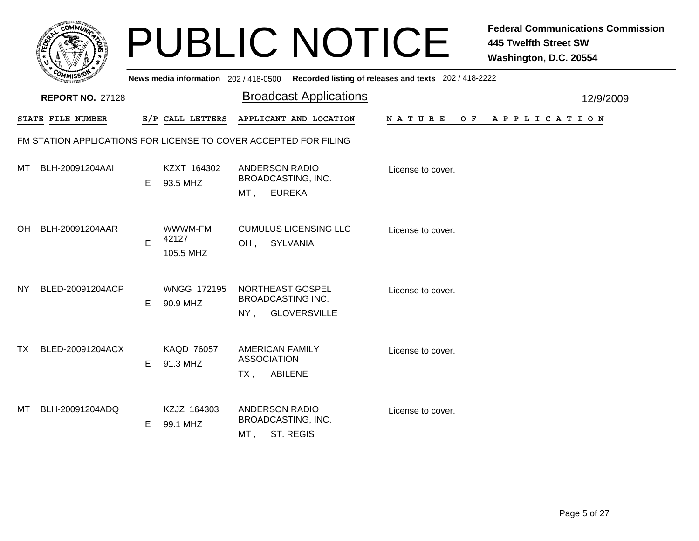| <b>AUNIC</b><br>r.<br>ð,<br>۰<br>ü |   |
|------------------------------------|---|
| $c_c$<br>÷<br>n<br>MISS\           | N |

|     | יככוומדי                |    |                                | News media information 202/418-0500 Recorded listing of releases and texts 202/418-2222 |                   |                |
|-----|-------------------------|----|--------------------------------|-----------------------------------------------------------------------------------------|-------------------|----------------|
|     | <b>REPORT NO. 27128</b> |    |                                | <b>Broadcast Applications</b>                                                           |                   | 12/9/2009      |
|     | STATE FILE NUMBER       |    | E/P CALL LETTERS               | APPLICANT AND LOCATION                                                                  | N A T U R E       | OF APPLICATION |
|     |                         |    |                                | FM STATION APPLICATIONS FOR LICENSE TO COVER ACCEPTED FOR FILING                        |                   |                |
| МT  | BLH-20091204AAI         | E. | KZXT 164302<br>93.5 MHZ        | <b>ANDERSON RADIO</b><br>BROADCASTING, INC.<br><b>EUREKA</b><br>MT ,                    | License to cover. |                |
| OH. | BLH-20091204AAR         | E  | WWWM-FM<br>42127<br>105.5 MHZ  | <b>CUMULUS LICENSING LLC</b><br>SYLVANIA<br>OH,                                         | License to cover. |                |
| NY. | BLED-20091204ACP        | E. | <b>WNGG 172195</b><br>90.9 MHZ | NORTHEAST GOSPEL<br><b>BROADCASTING INC.</b><br><b>GLOVERSVILLE</b><br>NY,              | License to cover. |                |
| TX. | BLED-20091204ACX        | E. | <b>KAQD 76057</b><br>91.3 MHZ  | <b>AMERICAN FAMILY</b><br><b>ASSOCIATION</b><br><b>ABILENE</b><br>TX ,                  | License to cover. |                |
| МT  | BLH-20091204ADQ         | E. | KZJZ 164303<br>99.1 MHZ        | <b>ANDERSON RADIO</b><br>BROADCASTING, INC.<br>ST. REGIS<br>MT,                         | License to cover. |                |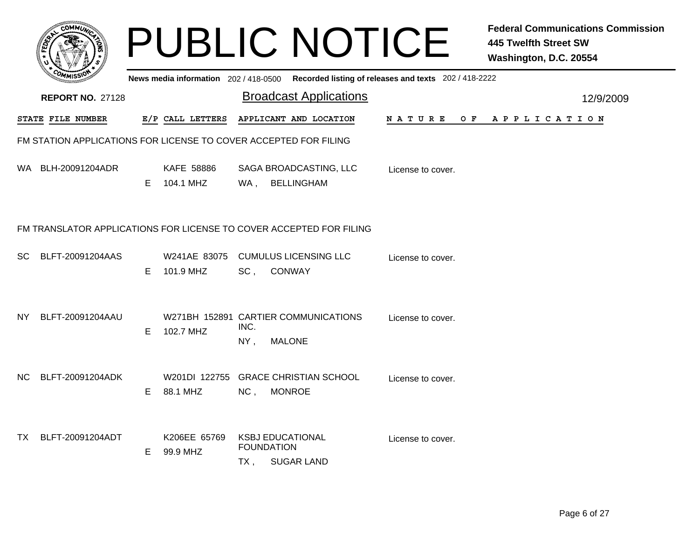|     |                                                                  |    |                                |             | <b>PUBLIC NOTICE</b>                                                                        |                    | <b>Federal Communications Commission</b><br><b>445 Twelfth Street SW</b><br>Washington, D.C. 20554 |
|-----|------------------------------------------------------------------|----|--------------------------------|-------------|---------------------------------------------------------------------------------------------|--------------------|----------------------------------------------------------------------------------------------------|
|     |                                                                  |    |                                |             | News media information 202 / 418-0500 Recorded listing of releases and texts 202 / 418-2222 |                    |                                                                                                    |
|     | <b>REPORT NO. 27128</b>                                          |    |                                |             | <b>Broadcast Applications</b>                                                               |                    | 12/9/2009                                                                                          |
|     | <b>STATE FILE NUMBER</b>                                         |    | E/P CALL LETTERS               |             | APPLICANT AND LOCATION                                                                      | N A T U R E<br>O F | A P P L I C A T I O N                                                                              |
|     | FM STATION APPLICATIONS FOR LICENSE TO COVER ACCEPTED FOR FILING |    |                                |             |                                                                                             |                    |                                                                                                    |
|     | WA BLH-20091204ADR                                               | E. | <b>KAFE 58886</b><br>104.1 MHZ | WA ,        | SAGA BROADCASTING, LLC<br><b>BELLINGHAM</b>                                                 | License to cover.  |                                                                                                    |
|     |                                                                  |    |                                |             | FM TRANSLATOR APPLICATIONS FOR LICENSE TO COVER ACCEPTED FOR FILING                         |                    |                                                                                                    |
| SC  | BLFT-20091204AAS                                                 | E. | W241AE 83075<br>101.9 MHZ      | $SC$ ,      | <b>CUMULUS LICENSING LLC</b><br><b>CONWAY</b>                                               | License to cover.  |                                                                                                    |
| NY. | BLFT-20091204AAU                                                 | E. | 102.7 MHZ                      | INC.<br>NY, | W271BH 152891 CARTIER COMMUNICATIONS<br><b>MALONE</b>                                       | License to cover.  |                                                                                                    |
| NC. | BLFT-20091204ADK                                                 | E. | 88.1 MHZ                       | NC,         | W201DI 122755 GRACE CHRISTIAN SCHOOL<br><b>MONROE</b>                                       | License to cover.  |                                                                                                    |
| TX  | BLFT-20091204ADT                                                 | E. | K206EE 65769<br>99.9 MHZ       | TX ,        | <b>KSBJ EDUCATIONAL</b><br><b>FOUNDATION</b><br><b>SUGAR LAND</b>                           | License to cover.  |                                                                                                    |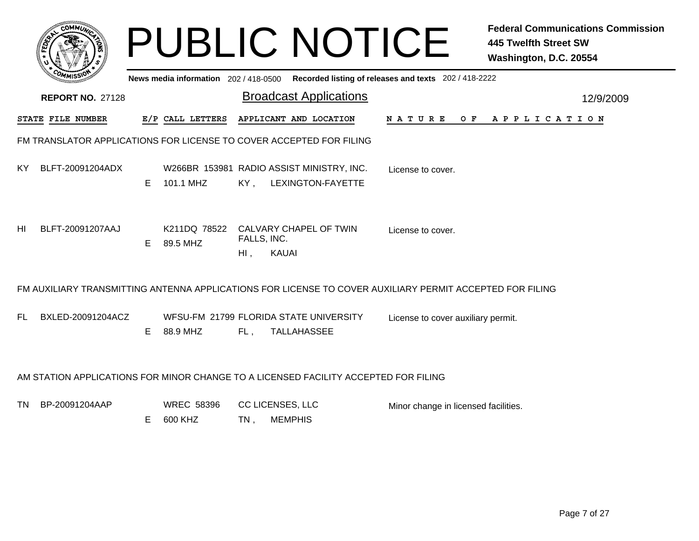|           |                                                                     |    |                              |                            | <b>PUBLIC NOTICE</b>                                                                |                                                                                                          | <b>Federal Communications Commission</b><br><b>445 Twelfth Street SW</b><br>Washington, D.C. 20554 |
|-----------|---------------------------------------------------------------------|----|------------------------------|----------------------------|-------------------------------------------------------------------------------------|----------------------------------------------------------------------------------------------------------|----------------------------------------------------------------------------------------------------|
|           |                                                                     |    |                              |                            |                                                                                     | News media information 202 / 418-0500 Recorded listing of releases and texts 202 / 418-2222              |                                                                                                    |
|           | <b>REPORT NO. 27128</b>                                             |    |                              |                            | <b>Broadcast Applications</b>                                                       |                                                                                                          | 12/9/2009                                                                                          |
|           | <b>STATE FILE NUMBER</b>                                            |    | E/P CALL LETTERS             |                            | APPLICANT AND LOCATION                                                              | N A T U R E<br>O F                                                                                       | A P P L I C A T I O N                                                                              |
|           | FM TRANSLATOR APPLICATIONS FOR LICENSE TO COVER ACCEPTED FOR FILING |    |                              |                            |                                                                                     |                                                                                                          |                                                                                                    |
| KY.       | BLFT-20091204ADX                                                    | E. | 101.1 MHZ                    | KY,                        | W266BR 153981 RADIO ASSIST MINISTRY, INC.<br>LEXINGTON-FAYETTE                      | License to cover.                                                                                        |                                                                                                    |
| HL        | BLFT-20091207AAJ                                                    | E. | 89.5 MHZ                     | FALLS, INC.<br>$Hl$ ,      | K211DQ 78522 CALVARY CHAPEL OF TWIN<br><b>KAUAI</b>                                 | License to cover.                                                                                        |                                                                                                    |
|           |                                                                     |    |                              |                            |                                                                                     | FM AUXILIARY TRANSMITTING ANTENNA APPLICATIONS FOR LICENSE TO COVER AUXILIARY PERMIT ACCEPTED FOR FILING |                                                                                                    |
| FL.       | BXLED-20091204ACZ                                                   | E. | 88.9 MHZ                     | FL,                        | WFSU-FM 21799 FLORIDA STATE UNIVERSITY<br>TALLAHASSEE                               | License to cover auxiliary permit.                                                                       |                                                                                                    |
|           |                                                                     |    |                              |                            | AM STATION APPLICATIONS FOR MINOR CHANGE TO A LICENSED FACILITY ACCEPTED FOR FILING |                                                                                                          |                                                                                                    |
| <b>TN</b> | BP-20091204AAP                                                      | E. | <b>WREC 58396</b><br>600 KHZ | CC LICENSES, LLC<br>$TN$ , | <b>MEMPHIS</b>                                                                      | Minor change in licensed facilities.                                                                     |                                                                                                    |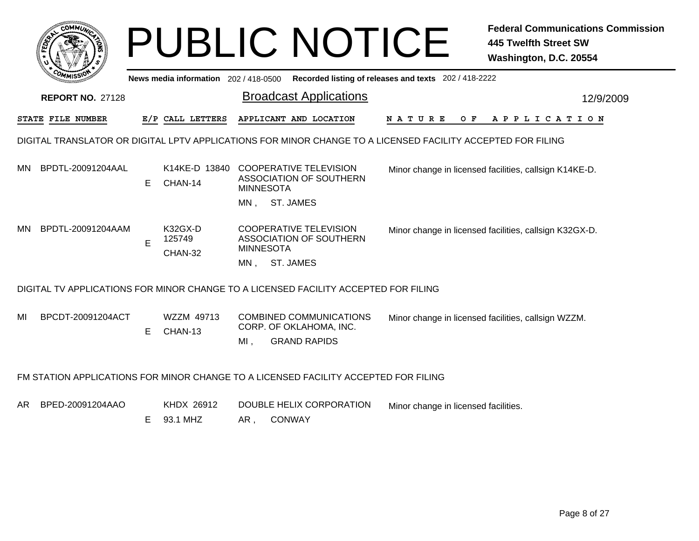|     |                                                                                                             |    |                                     |                  | <b>PUBLIC NOTICE</b>                                                                |                                                       | <b>Federal Communications Commission</b><br><b>445 Twelfth Street SW</b><br>Washington, D.C. 20554 |  |  |  |
|-----|-------------------------------------------------------------------------------------------------------------|----|-------------------------------------|------------------|-------------------------------------------------------------------------------------|-------------------------------------------------------|----------------------------------------------------------------------------------------------------|--|--|--|
|     |                                                                                                             |    | News media information 202/418-0500 |                  |                                                                                     | Recorded listing of releases and texts 202 / 418-2222 |                                                                                                    |  |  |  |
|     | <b>REPORT NO. 27128</b>                                                                                     |    |                                     |                  | <b>Broadcast Applications</b>                                                       |                                                       | 12/9/2009                                                                                          |  |  |  |
|     | STATE FILE NUMBER                                                                                           |    | E/P CALL LETTERS                    |                  | APPLICANT AND LOCATION                                                              | N A T U R E<br>O F                                    | APPLICATION                                                                                        |  |  |  |
|     | DIGITAL TRANSLATOR OR DIGITAL LPTV APPLICATIONS FOR MINOR CHANGE TO A LICENSED FACILITY ACCEPTED FOR FILING |    |                                     |                  |                                                                                     |                                                       |                                                                                                    |  |  |  |
| MN. | BPDTL-20091204AAL                                                                                           | E. | CHAN-14                             | <b>MINNESOTA</b> | K14KE-D 13840 COOPERATIVE TELEVISION<br><b>ASSOCIATION OF SOUTHERN</b>              |                                                       | Minor change in licensed facilities, callsign K14KE-D.                                             |  |  |  |
|     |                                                                                                             |    |                                     |                  | MN, ST. JAMES                                                                       |                                                       |                                                                                                    |  |  |  |
| MN  | BPDTL-20091204AAM                                                                                           | E  | K32GX-D<br>125749<br>CHAN-32        | <b>MINNESOTA</b> | <b>COOPERATIVE TELEVISION</b><br>ASSOCIATION OF SOUTHERN                            |                                                       | Minor change in licensed facilities, callsign K32GX-D.                                             |  |  |  |
|     |                                                                                                             |    |                                     | MN.              | <b>ST. JAMES</b>                                                                    |                                                       |                                                                                                    |  |  |  |
|     |                                                                                                             |    |                                     |                  | DIGITAL TV APPLICATIONS FOR MINOR CHANGE TO A LICENSED FACILITY ACCEPTED FOR FILING |                                                       |                                                                                                    |  |  |  |
| MI  | BPCDT-20091204ACT                                                                                           | E. | WZZM 49713<br>CHAN-13               | $MI$ ,           | <b>COMBINED COMMUNICATIONS</b><br>CORP. OF OKLAHOMA, INC.<br><b>GRAND RAPIDS</b>    |                                                       | Minor change in licensed facilities, callsign WZZM.                                                |  |  |  |
|     | FM STATION APPLICATIONS FOR MINOR CHANGE TO A LICENSED FACILITY ACCEPTED FOR FILING                         |    |                                     |                  |                                                                                     |                                                       |                                                                                                    |  |  |  |
| AR. | BPED-20091204AAO                                                                                            | E. | KHDX 26912<br>93.1 MHZ              | AR,              | DOUBLE HELIX CORPORATION<br><b>CONWAY</b>                                           | Minor change in licensed facilities.                  |                                                                                                    |  |  |  |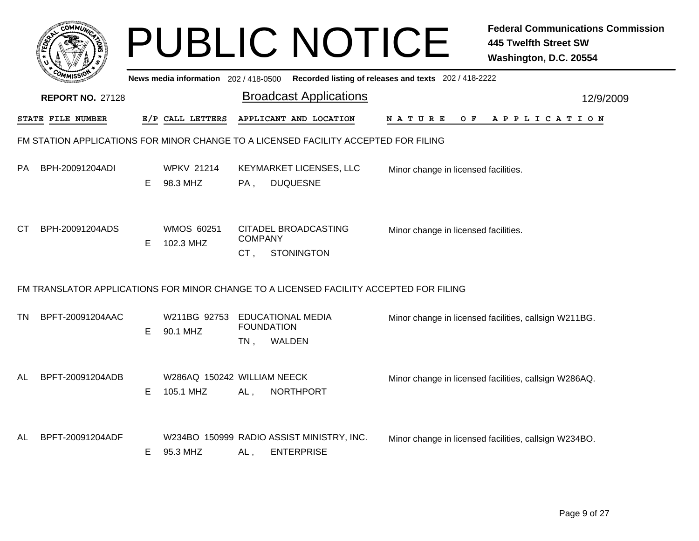|                                                                                     | сомми                   |    |                                          |                             | <b>PUBLIC NOTICE</b>                                                                   |                                                       | <b>Federal Communications Commission</b><br><b>445 Twelfth Street SW</b><br>Washington, D.C. 20554 |  |  |  |
|-------------------------------------------------------------------------------------|-------------------------|----|------------------------------------------|-----------------------------|----------------------------------------------------------------------------------------|-------------------------------------------------------|----------------------------------------------------------------------------------------------------|--|--|--|
|                                                                                     |                         |    | News media information 202/418-0500      |                             |                                                                                        | Recorded listing of releases and texts 202 / 418-2222 |                                                                                                    |  |  |  |
|                                                                                     | <b>REPORT NO. 27128</b> |    |                                          |                             | <b>Broadcast Applications</b>                                                          |                                                       | 12/9/2009                                                                                          |  |  |  |
|                                                                                     | STATE FILE NUMBER       |    | E/P CALL LETTERS                         |                             | APPLICANT AND LOCATION                                                                 | O F<br>N A T U R E                                    | A P P L I C A T I O N                                                                              |  |  |  |
| FM STATION APPLICATIONS FOR MINOR CHANGE TO A LICENSED FACILITY ACCEPTED FOR FILING |                         |    |                                          |                             |                                                                                        |                                                       |                                                                                                    |  |  |  |
| PA                                                                                  | BPH-20091204ADI         | E. | <b>WPKV 21214</b><br>98.3 MHZ            | $PA$ .                      | KEYMARKET LICENSES, LLC<br><b>DUQUESNE</b>                                             | Minor change in licensed facilities.                  |                                                                                                    |  |  |  |
| CТ                                                                                  | BPH-20091204ADS         | E  | <b>WMOS 60251</b><br>102.3 MHZ           | <b>COMPANY</b><br>$CT$ .    | CITADEL BROADCASTING<br><b>STONINGTON</b>                                              | Minor change in licensed facilities.                  |                                                                                                    |  |  |  |
|                                                                                     |                         |    |                                          |                             | FM TRANSLATOR APPLICATIONS FOR MINOR CHANGE TO A LICENSED FACILITY ACCEPTED FOR FILING |                                                       |                                                                                                    |  |  |  |
| TN.                                                                                 | BPFT-20091204AAC        | E. | W211BG 92753<br>90.1 MHZ                 | <b>FOUNDATION</b><br>$TN$ , | <b>EDUCATIONAL MEDIA</b><br>WALDEN                                                     |                                                       | Minor change in licensed facilities, callsign W211BG.                                              |  |  |  |
| AL                                                                                  | BPFT-20091204ADB        | E. | W286AQ 150242 WILLIAM NEECK<br>105.1 MHZ | AL,                         | <b>NORTHPORT</b>                                                                       |                                                       | Minor change in licensed facilities, callsign W286AQ.                                              |  |  |  |
| AL                                                                                  | BPFT-20091204ADF        | E. | 95.3 MHZ                                 | AL,                         | W234BO 150999 RADIO ASSIST MINISTRY, INC.<br><b>ENTERPRISE</b>                         |                                                       | Minor change in licensed facilities, callsign W234BO.                                              |  |  |  |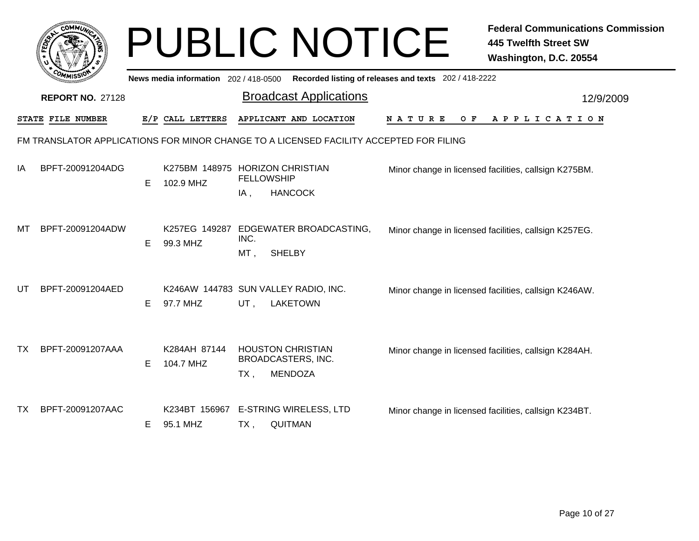|    |                         |    |                                     | <b>PUBLIC NOTICE</b>                                                                   |                                                       | <b>Federal Communications Commission</b><br><b>445 Twelfth Street SW</b><br>Washington, D.C. 20554 |
|----|-------------------------|----|-------------------------------------|----------------------------------------------------------------------------------------|-------------------------------------------------------|----------------------------------------------------------------------------------------------------|
|    |                         |    | News media information 202/418-0500 |                                                                                        | Recorded listing of releases and texts 202 / 418-2222 |                                                                                                    |
|    | <b>REPORT NO. 27128</b> |    |                                     | <b>Broadcast Applications</b>                                                          |                                                       | 12/9/2009                                                                                          |
|    | STATE FILE NUMBER       |    | E/P CALL LETTERS                    | APPLICANT AND LOCATION                                                                 | N A T U R E<br>O F                                    | A P P L I C A T I O N                                                                              |
|    |                         |    |                                     | FM TRANSLATOR APPLICATIONS FOR MINOR CHANGE TO A LICENSED FACILITY ACCEPTED FOR FILING |                                                       |                                                                                                    |
| ΙA | BPFT-20091204ADG        | E. | 102.9 MHZ                           | K275BM 148975 HORIZON CHRISTIAN<br><b>FELLOWSHIP</b><br><b>HANCOCK</b><br>IA,          |                                                       | Minor change in licensed facilities, callsign K275BM.                                              |
| МT | BPFT-20091204ADW        | E. | K257EG 149287<br>99.3 MHZ           | EDGEWATER BROADCASTING,<br>INC.<br><b>SHELBY</b><br>MT,                                |                                                       | Minor change in licensed facilities, callsign K257EG.                                              |
| UT | BPFT-20091204AED        | Е  | 97.7 MHZ                            | K246AW 144783 SUN VALLEY RADIO, INC.<br>UT.<br><b>LAKETOWN</b>                         |                                                       | Minor change in licensed facilities, callsign K246AW.                                              |
| ТX | BPFT-20091207AAA        | Е  | K284AH 87144<br>104.7 MHZ           | <b>HOUSTON CHRISTIAN</b><br>BROADCASTERS, INC.<br><b>MENDOZA</b><br>$TX$ ,             |                                                       | Minor change in licensed facilities, callsign K284AH.                                              |
| ТX | BPFT-20091207AAC        | E. | K234BT 156967<br>95.1 MHZ           | <b>E-STRING WIRELESS, LTD</b><br><b>QUITMAN</b><br>TX,                                 |                                                       | Minor change in licensed facilities, callsign K234BT.                                              |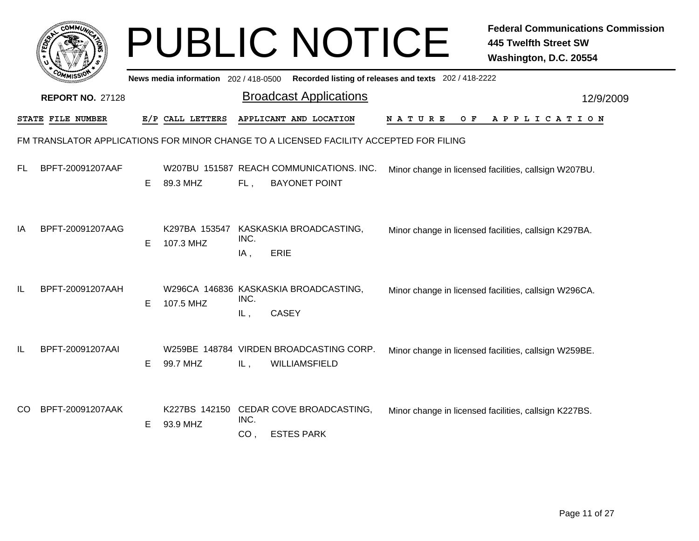|    |                                                                                        |   |                                       |                            | <b>PUBLIC NOTICE</b>                                             |                                                       | <b>Federal Communications Commission</b><br><b>445 Twelfth Street SW</b><br>Washington, D.C. 20554 |  |  |
|----|----------------------------------------------------------------------------------------|---|---------------------------------------|----------------------------|------------------------------------------------------------------|-------------------------------------------------------|----------------------------------------------------------------------------------------------------|--|--|
|    |                                                                                        |   | News media information 202 / 418-0500 |                            |                                                                  | Recorded listing of releases and texts 202 / 418-2222 |                                                                                                    |  |  |
|    | <b>REPORT NO. 27128</b>                                                                |   |                                       |                            | <b>Broadcast Applications</b>                                    |                                                       | 12/9/2009                                                                                          |  |  |
|    | STATE FILE NUMBER                                                                      |   | E/P CALL LETTERS                      |                            | APPLICANT AND LOCATION                                           | N A T U R E<br>O F                                    | A P P L I C A T I O N                                                                              |  |  |
|    | FM TRANSLATOR APPLICATIONS FOR MINOR CHANGE TO A LICENSED FACILITY ACCEPTED FOR FILING |   |                                       |                            |                                                                  |                                                       |                                                                                                    |  |  |
| FL | BPFT-20091207AAF                                                                       | Е | 89.3 MHZ                              | FL,                        | W207BU 151587 REACH COMMUNICATIONS. INC.<br><b>BAYONET POINT</b> |                                                       | Minor change in licensed facilities, callsign W207BU.                                              |  |  |
| ΙA | BPFT-20091207AAG                                                                       | Е | K297BA 153547<br>107.3 MHZ            | INC.<br><b>ERIE</b><br>IA, | KASKASKIA BROADCASTING,                                          |                                                       | Minor change in licensed facilities, callsign K297BA.                                              |  |  |
| IL | BPFT-20091207AAH                                                                       | Е | 107.5 MHZ                             | INC.<br>IL,                | W296CA 146836 KASKASKIA BROADCASTING,<br><b>CASEY</b>            |                                                       | Minor change in licensed facilities, callsign W296CA.                                              |  |  |
| IL | BPFT-20091207AAI                                                                       | Е | 99.7 MHZ                              | IL,                        | W259BE 148784 VIRDEN BROADCASTING CORP.<br>WILLIAMSFIELD         |                                                       | Minor change in licensed facilities, callsign W259BE.                                              |  |  |
| CO | BPFT-20091207AAK                                                                       | Е | K227BS 142150<br>93.9 MHZ             | INC.<br>CO <sub>1</sub>    | CEDAR COVE BROADCASTING,<br><b>ESTES PARK</b>                    |                                                       | Minor change in licensed facilities, callsign K227BS.                                              |  |  |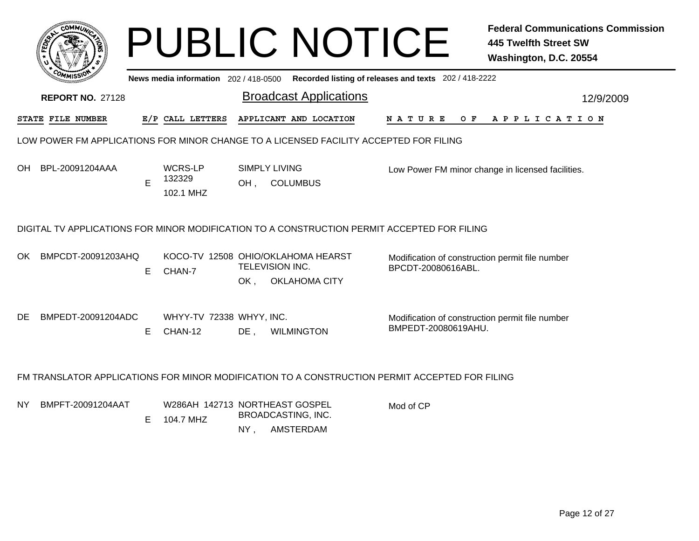|                                                                                                |                                |                                                 |                                                                                                                                         | <b>Federal Communications Commission</b><br><b>445 Twelfth Street SW</b><br>Washington, D.C. 20554                                                                           |  |  |  |  |  |  |  |
|------------------------------------------------------------------------------------------------|--------------------------------|-------------------------------------------------|-----------------------------------------------------------------------------------------------------------------------------------------|------------------------------------------------------------------------------------------------------------------------------------------------------------------------------|--|--|--|--|--|--|--|
|                                                                                                |                                |                                                 |                                                                                                                                         |                                                                                                                                                                              |  |  |  |  |  |  |  |
|                                                                                                |                                | <b>Broadcast Applications</b>                   |                                                                                                                                         | 12/9/2009                                                                                                                                                                    |  |  |  |  |  |  |  |
|                                                                                                |                                | APPLICANT AND LOCATION                          | O F<br>N A T U R E                                                                                                                      | APPLICATION                                                                                                                                                                  |  |  |  |  |  |  |  |
| LOW POWER FM APPLICATIONS FOR MINOR CHANGE TO A LICENSED FACILITY ACCEPTED FOR FILING          |                                |                                                 |                                                                                                                                         |                                                                                                                                                                              |  |  |  |  |  |  |  |
| E                                                                                              | WCRS-LP<br>132329<br>102.1 MHZ | <b>SIMPLY LIVING</b><br>OH,<br><b>COLUMBUS</b>  |                                                                                                                                         | Low Power FM minor change in licensed facilities.                                                                                                                            |  |  |  |  |  |  |  |
|                                                                                                |                                |                                                 |                                                                                                                                         |                                                                                                                                                                              |  |  |  |  |  |  |  |
| BMPCDT-20091203AHQ<br>E.                                                                       | CHAN-7                         | TELEVISION INC.<br><b>OKLAHOMA CITY</b><br>OK , | Modification of construction permit file number<br>BPCDT-20080616ABL.                                                                   |                                                                                                                                                                              |  |  |  |  |  |  |  |
| BMPEDT-20091204ADC<br>E                                                                        | CHAN-12                        | $DE$ ,<br><b>WILMINGTON</b>                     | Modification of construction permit file number<br>BMPEDT-20080619AHU.                                                                  |                                                                                                                                                                              |  |  |  |  |  |  |  |
| FM TRANSLATOR APPLICATIONS FOR MINOR MODIFICATION TO A CONSTRUCTION PERMIT ACCEPTED FOR FILING |                                |                                                 |                                                                                                                                         |                                                                                                                                                                              |  |  |  |  |  |  |  |
| BMPFT-20091204AAT<br>Е                                                                         | 104.7 MHZ                      | BROADCASTING, INC.<br>AMSTERDAM<br>$NY$ ,       | Mod of CP                                                                                                                               |                                                                                                                                                                              |  |  |  |  |  |  |  |
|                                                                                                |                                | E/P CALL LETTERS                                | News media information 202/418-0500<br>KOCO-TV 12508 OHIO/OKLAHOMA HEARST<br>WHYY-TV 72338 WHYY, INC.<br>W286AH 142713 NORTHEAST GOSPEL | <b>PUBLIC NOTICE</b><br>Recorded listing of releases and texts 202 / 418-2222<br>DIGITAL TV APPLICATIONS FOR MINOR MODIFICATION TO A CONSTRUCTION PERMIT ACCEPTED FOR FILING |  |  |  |  |  |  |  |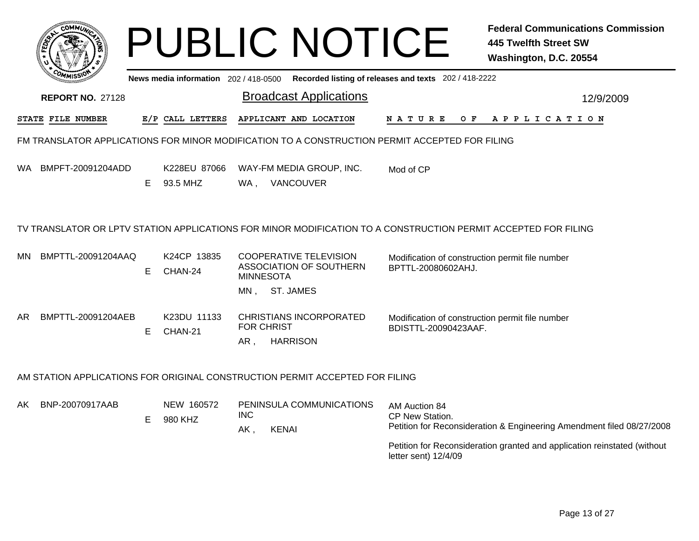|     | <b>COMMUX</b>           |   |                                     | <b>PUBLIC NOTICE</b>                                                                           | <b>Federal Communications Commission</b><br><b>445 Twelfth Street SW</b><br>Washington, D.C. 20554             |
|-----|-------------------------|---|-------------------------------------|------------------------------------------------------------------------------------------------|----------------------------------------------------------------------------------------------------------------|
|     |                         |   | News media information 202/418-0500 |                                                                                                | Recorded listing of releases and texts 202 / 418-2222                                                          |
|     | <b>REPORT NO. 27128</b> |   |                                     | <b>Broadcast Applications</b>                                                                  | 12/9/2009                                                                                                      |
|     | STATE FILE NUMBER       |   | E/P CALL LETTERS                    | APPLICANT AND LOCATION                                                                         | N A T U R E<br>OF APPLICATION                                                                                  |
|     |                         |   |                                     | FM TRANSLATOR APPLICATIONS FOR MINOR MODIFICATION TO A CONSTRUCTION PERMIT ACCEPTED FOR FILING |                                                                                                                |
| WA. | BMPFT-20091204ADD       | E | K228EU 87066<br>93.5 MHZ            | WAY-FM MEDIA GROUP, INC.<br>WA, VANCOUVER                                                      | Mod of CP                                                                                                      |
|     |                         |   |                                     |                                                                                                | TV TRANSLATOR OR LPTV STATION APPLICATIONS FOR MINOR MODIFICATION TO A CONSTRUCTION PERMIT ACCEPTED FOR FILING |
| MN. | BMPTTL-20091204AAQ      | E | K24CP 13835<br>CHAN-24              | <b>COOPERATIVE TELEVISION</b><br>ASSOCIATION OF SOUTHERN<br><b>MINNESOTA</b>                   | Modification of construction permit file number<br>BPTTL-20080602AHJ.                                          |
|     |                         |   |                                     | MN, ST. JAMES                                                                                  |                                                                                                                |
| AR. | BMPTTL-20091204AEB      | E | K23DU 11133<br>CHAN-21              | <b>CHRISTIANS INCORPORATED</b><br><b>FOR CHRIST</b><br>AR,<br><b>HARRISON</b>                  | Modification of construction permit file number<br>BDISTTL-20090423AAF.                                        |
|     |                         |   |                                     | AM STATION APPLICATIONS FOR ORIGINAL CONSTRUCTION PERMIT ACCEPTED FOR FILING                   |                                                                                                                |
| AK. | BNP-20070917AAB         | Е | NEW 160572<br>980 KHZ               | PENINSULA COMMUNICATIONS<br><b>INC</b><br><b>KENAI</b><br>AK,                                  | AM Auction 84<br>CP New Station.<br>Petition for Reconsideration & Engineering Amendment filed 08/27/2008      |

Petition for Reconsideration granted and application reinstated (without letter sent) 12/4/09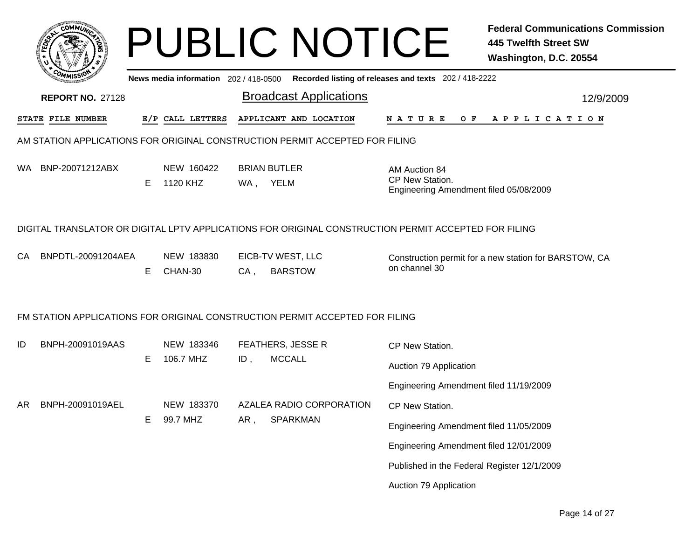| <b>COMMI</b>                                                                                         |   |                                       |     | <b>PUBLIC NOTICE</b>                |                                                                            | <b>Federal Communications Commission</b><br><b>445 Twelfth Street SW</b><br>Washington, D.C. 20554 |
|------------------------------------------------------------------------------------------------------|---|---------------------------------------|-----|-------------------------------------|----------------------------------------------------------------------------|----------------------------------------------------------------------------------------------------|
|                                                                                                      |   | News media information 202 / 418-0500 |     |                                     | Recorded listing of releases and texts 202 / 418-2222                      |                                                                                                    |
| <b>REPORT NO. 27128</b>                                                                              |   |                                       |     | <b>Broadcast Applications</b>       |                                                                            | 12/9/2009                                                                                          |
| STATE FILE NUMBER                                                                                    |   | E/P CALL LETTERS                      |     | APPLICANT AND LOCATION              | N A T U R E<br>O F                                                         | A P P L I C A T I O N                                                                              |
| AM STATION APPLICATIONS FOR ORIGINAL CONSTRUCTION PERMIT ACCEPTED FOR FILING                         |   |                                       |     |                                     |                                                                            |                                                                                                    |
| BNP-20071212ABX<br>WA.                                                                               | Е | NEW 160422<br>1120 KHZ                |     | <b>BRIAN BUTLER</b><br>WA, YELM     | AM Auction 84<br>CP New Station.<br>Engineering Amendment filed 05/08/2009 |                                                                                                    |
| DIGITAL TRANSLATOR OR DIGITAL LPTV APPLICATIONS FOR ORIGINAL CONSTRUCTION PERMIT ACCEPTED FOR FILING |   |                                       |     |                                     |                                                                            |                                                                                                    |
| BNPDTL-20091204AEA<br>CA.                                                                            | E | NEW 183830<br>CHAN-30                 | CA, | EICB-TV WEST, LLC<br><b>BARSTOW</b> | on channel 30                                                              | Construction permit for a new station for BARSTOW, CA                                              |
| FM STATION APPLICATIONS FOR ORIGINAL CONSTRUCTION PERMIT ACCEPTED FOR FILING                         |   |                                       |     |                                     |                                                                            |                                                                                                    |
| BNPH-20091019AAS<br>ID                                                                               |   | NEW 183346                            |     | FEATHERS, JESSE R                   | CP New Station.                                                            |                                                                                                    |
|                                                                                                      | Е | 106.7 MHZ                             | ID, | <b>MCCALL</b>                       | Auction 79 Application                                                     |                                                                                                    |
|                                                                                                      |   |                                       |     |                                     | Engineering Amendment filed 11/19/2009                                     |                                                                                                    |
| AR<br>BNPH-20091019AEL                                                                               |   | NEW 183370                            |     | AZALEA RADIO CORPORATION            | CP New Station.                                                            |                                                                                                    |
|                                                                                                      | E | 99.7 MHZ                              | AR, | <b>SPARKMAN</b>                     | Engineering Amendment filed 11/05/2009                                     |                                                                                                    |
|                                                                                                      |   |                                       |     |                                     | Engineering Amendment filed 12/01/2009                                     |                                                                                                    |
|                                                                                                      |   |                                       |     |                                     | Published in the Federal Register 12/1/2009                                |                                                                                                    |
|                                                                                                      |   |                                       |     |                                     | Auction 79 Application                                                     |                                                                                                    |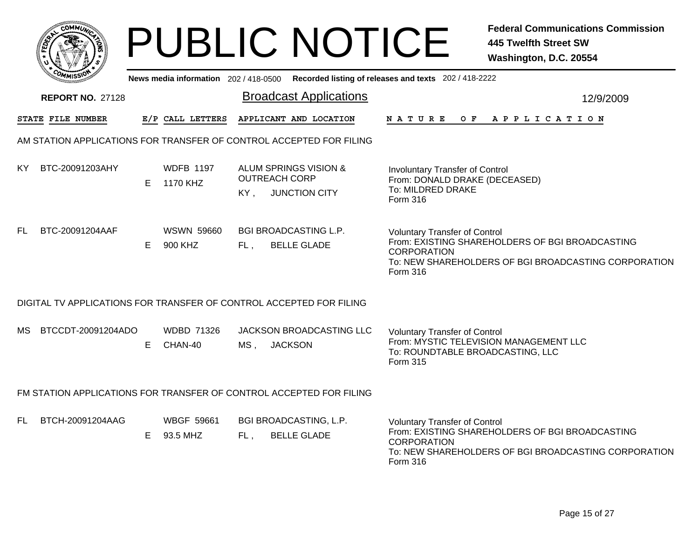|    | <b>COMMU</b>                                                        |    |                               |        |                      | <b>PUBLIC NOTICE</b>                               |                                                                                                                 | <b>Federal Communications Commission</b><br><b>445 Twelfth Street SW</b><br>Washington, D.C. 20554      |  |  |  |
|----|---------------------------------------------------------------------|----|-------------------------------|--------|----------------------|----------------------------------------------------|-----------------------------------------------------------------------------------------------------------------|---------------------------------------------------------------------------------------------------------|--|--|--|
|    |                                                                     |    |                               |        |                      |                                                    | News media information 202/418-0500 Recorded listing of releases and texts 202/418-2222                         |                                                                                                         |  |  |  |
|    | <b>REPORT NO. 27128</b>                                             |    |                               |        |                      | <b>Broadcast Applications</b>                      |                                                                                                                 | 12/9/2009                                                                                               |  |  |  |
|    | STATE FILE NUMBER                                                   |    | E/P CALL LETTERS              |        |                      | APPLICANT AND LOCATION                             | N A T U R E                                                                                                     | OF APPLICATION                                                                                          |  |  |  |
|    | AM STATION APPLICATIONS FOR TRANSFER OF CONTROL ACCEPTED FOR FILING |    |                               |        |                      |                                                    |                                                                                                                 |                                                                                                         |  |  |  |
| ΚY | BTC-20091203AHY                                                     | E. | <b>WDFB 1197</b><br>1170 KHZ  | KY.    | <b>OUTREACH CORP</b> | ALUM SPRINGS VISION &<br><b>JUNCTION CITY</b>      | <b>Involuntary Transfer of Control</b><br>From: DONALD DRAKE (DECEASED)<br>To: MILDRED DRAKE<br><b>Form 316</b> |                                                                                                         |  |  |  |
| FL | BTC-20091204AAF                                                     | E  | <b>WSWN 59660</b><br>900 KHZ  | FL,    |                      | <b>BGI BROADCASTING L.P.</b><br><b>BELLE GLADE</b> | <b>Voluntary Transfer of Control</b><br><b>CORPORATION</b><br><b>Form 316</b>                                   | From: EXISTING SHAREHOLDERS OF BGI BROADCASTING<br>To: NEW SHAREHOLDERS OF BGI BROADCASTING CORPORATION |  |  |  |
|    | DIGITAL TV APPLICATIONS FOR TRANSFER OF CONTROL ACCEPTED FOR FILING |    |                               |        |                      |                                                    |                                                                                                                 |                                                                                                         |  |  |  |
| MS | BTCCDT-20091204ADO                                                  | E. | <b>WDBD 71326</b><br>CHAN-40  | $MS$ , | <b>JACKSON</b>       | JACKSON BROADCASTING LLC                           | <b>Voluntary Transfer of Control</b><br>To: ROUNDTABLE BROADCASTING, LLC<br>Form 315                            | From: MYSTIC TELEVISION MANAGEMENT LLC                                                                  |  |  |  |
|    | FM STATION APPLICATIONS FOR TRANSFER OF CONTROL ACCEPTED FOR FILING |    |                               |        |                      |                                                    |                                                                                                                 |                                                                                                         |  |  |  |
| FL | BTCH-20091204AAG                                                    | E. | <b>WBGF 59661</b><br>93.5 MHZ | FL,    |                      | BGI BROADCASTING, L.P.<br><b>BELLE GLADE</b>       | <b>Voluntary Transfer of Control</b><br><b>CORPORATION</b>                                                      | From: EXISTING SHAREHOLDERS OF BGI BROADCASTING                                                         |  |  |  |

To: NEW SHAREHOLDERS OF BGI BROADCASTING CORPORATION

Form 316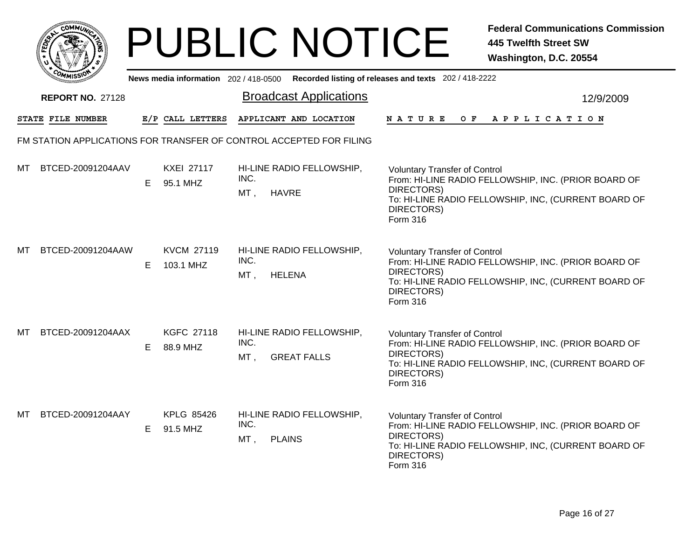|      | MMUNICT<br>$C_{\mathbf{U}}$ |  |
|------|-----------------------------|--|
| EDE) |                             |  |
|      |                             |  |
| COM  | MISS                        |  |

|    | יככוואויי<br>News media information 202/418-0500 Recorded listing of releases and texts 202/418-2222 |    |                                |                                                                     |                                                                                                                                                                                              |  |  |  |
|----|------------------------------------------------------------------------------------------------------|----|--------------------------------|---------------------------------------------------------------------|----------------------------------------------------------------------------------------------------------------------------------------------------------------------------------------------|--|--|--|
|    | <b>REPORT NO. 27128</b>                                                                              |    |                                | <b>Broadcast Applications</b>                                       | 12/9/2009                                                                                                                                                                                    |  |  |  |
|    | STATE FILE NUMBER                                                                                    |    | E/P CALL LETTERS               | APPLICANT AND LOCATION                                              | N A T U R E<br>O F<br>A P P L I C A T I O N                                                                                                                                                  |  |  |  |
|    |                                                                                                      |    |                                | FM STATION APPLICATIONS FOR TRANSFER OF CONTROL ACCEPTED FOR FILING |                                                                                                                                                                                              |  |  |  |
| мт | BTCED-20091204AAV                                                                                    | Е  | <b>KXEI 27117</b><br>95.1 MHZ  | HI-LINE RADIO FELLOWSHIP,<br>INC.<br>MT,<br>HAVRE                   | <b>Voluntary Transfer of Control</b><br>From: HI-LINE RADIO FELLOWSHIP, INC. (PRIOR BOARD OF<br>DIRECTORS)<br>To: HI-LINE RADIO FELLOWSHIP, INC, (CURRENT BOARD OF<br>DIRECTORS)<br>Form 316 |  |  |  |
| МT | BTCED-20091204AAW                                                                                    | Е  | <b>KVCM 27119</b><br>103.1 MHZ | HI-LINE RADIO FELLOWSHIP,<br>INC.<br>MT,<br><b>HELENA</b>           | <b>Voluntary Transfer of Control</b><br>From: HI-LINE RADIO FELLOWSHIP, INC. (PRIOR BOARD OF<br>DIRECTORS)<br>To: HI-LINE RADIO FELLOWSHIP, INC, (CURRENT BOARD OF<br>DIRECTORS)<br>Form 316 |  |  |  |
| МT | BTCED-20091204AAX                                                                                    | E. | <b>KGFC 27118</b><br>88.9 MHZ  | HI-LINE RADIO FELLOWSHIP,<br>INC.<br><b>GREAT FALLS</b><br>$MT$ ,   | <b>Voluntary Transfer of Control</b><br>From: HI-LINE RADIO FELLOWSHIP, INC. (PRIOR BOARD OF<br>DIRECTORS)<br>To: HI-LINE RADIO FELLOWSHIP, INC, (CURRENT BOARD OF<br>DIRECTORS)<br>Form 316 |  |  |  |
| мт | BTCED-20091204AAY                                                                                    | E. | KPLG 85426<br>91.5 MHZ         | HI-LINE RADIO FELLOWSHIP,<br>INC.<br>$MT$ ,<br><b>PLAINS</b>        | <b>Voluntary Transfer of Control</b><br>From: HI-LINE RADIO FELLOWSHIP, INC. (PRIOR BOARD OF<br>DIRECTORS)<br>To: HI-LINE RADIO FELLOWSHIP, INC, (CURRENT BOARD OF<br>DIRECTORS)<br>Form 316 |  |  |  |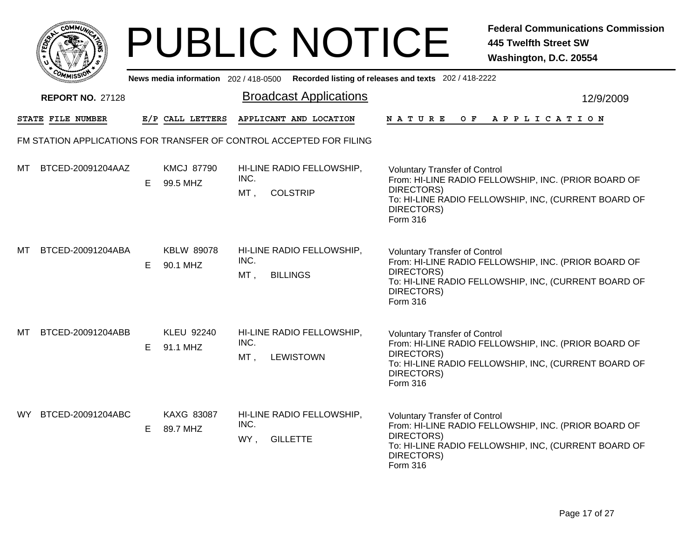|     | MMUNICT<br><b>CO</b> |  |
|-----|----------------------|--|
| ప్త |                      |  |
|     |                      |  |
|     | COMI<br>MISS<br>m    |  |

|     | יככוומיי<br>News media information 202/418-0500 Recorded listing of releases and texts 202/418-2222 |   |                               |             |                                                                     |                                                                                                                                                                                              |           |  |  |
|-----|-----------------------------------------------------------------------------------------------------|---|-------------------------------|-------------|---------------------------------------------------------------------|----------------------------------------------------------------------------------------------------------------------------------------------------------------------------------------------|-----------|--|--|
|     | <b>REPORT NO. 27128</b>                                                                             |   |                               |             | <b>Broadcast Applications</b>                                       |                                                                                                                                                                                              | 12/9/2009 |  |  |
|     | STATE FILE NUMBER                                                                                   |   | E/P CALL LETTERS              |             | APPLICANT AND LOCATION                                              | <b>NATURE</b><br>O F<br>A P P L I C A T I O N                                                                                                                                                |           |  |  |
|     |                                                                                                     |   |                               |             | FM STATION APPLICATIONS FOR TRANSFER OF CONTROL ACCEPTED FOR FILING |                                                                                                                                                                                              |           |  |  |
| мт  | BTCED-20091204AAZ                                                                                   | Е | <b>KMCJ 87790</b><br>99.5 MHZ | INC.<br>MT, | HI-LINE RADIO FELLOWSHIP,<br><b>COLSTRIP</b>                        | <b>Voluntary Transfer of Control</b><br>From: HI-LINE RADIO FELLOWSHIP, INC. (PRIOR BOARD OF<br>DIRECTORS)<br>To: HI-LINE RADIO FELLOWSHIP, INC, (CURRENT BOARD OF<br>DIRECTORS)<br>Form 316 |           |  |  |
| MТ  | BTCED-20091204ABA                                                                                   | Е | <b>KBLW 89078</b><br>90.1 MHZ | INC.<br>MT, | HI-LINE RADIO FELLOWSHIP,<br><b>BILLINGS</b>                        | <b>Voluntary Transfer of Control</b><br>From: HI-LINE RADIO FELLOWSHIP, INC. (PRIOR BOARD OF<br>DIRECTORS)<br>To: HI-LINE RADIO FELLOWSHIP, INC, (CURRENT BOARD OF<br>DIRECTORS)<br>Form 316 |           |  |  |
| МT  | BTCED-20091204ABB                                                                                   | Е | <b>KLEU 92240</b><br>91.1 MHZ | INC.<br>MT, | HI-LINE RADIO FELLOWSHIP,<br><b>LEWISTOWN</b>                       | <b>Voluntary Transfer of Control</b><br>From: HI-LINE RADIO FELLOWSHIP, INC. (PRIOR BOARD OF<br>DIRECTORS)<br>To: HI-LINE RADIO FELLOWSHIP, INC, (CURRENT BOARD OF<br>DIRECTORS)<br>Form 316 |           |  |  |
| WY. | BTCED-20091204ABC                                                                                   | Е | KAXG 83087<br>89.7 MHZ        | INC.<br>WY, | HI-LINE RADIO FELLOWSHIP,<br><b>GILLETTE</b>                        | <b>Voluntary Transfer of Control</b><br>From: HI-LINE RADIO FELLOWSHIP, INC. (PRIOR BOARD OF<br>DIRECTORS)<br>To: HI-LINE RADIO FELLOWSHIP, INC, (CURRENT BOARD OF<br>DIRECTORS)<br>Form 316 |           |  |  |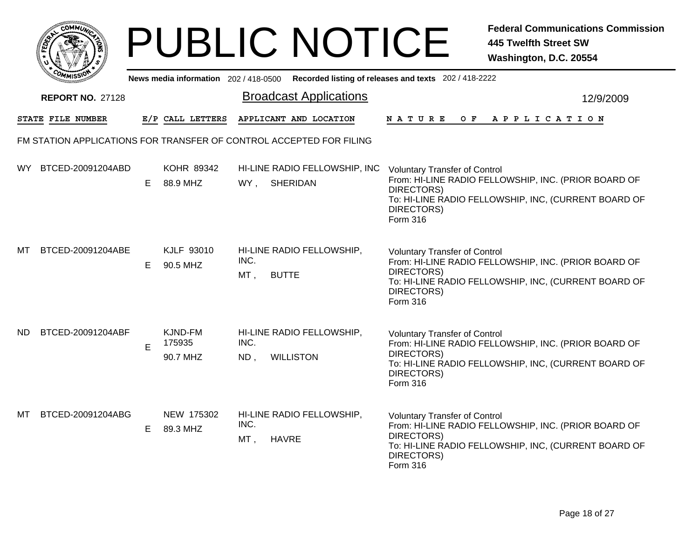|      | омм ,                   |    |                                       |             | <b>PUBLIC NOTICE</b>                                                |                                                                              | <b>Federal Communications Commission</b><br><b>445 Twelfth Street SW</b><br>Washington, D.C. 20554           |
|------|-------------------------|----|---------------------------------------|-------------|---------------------------------------------------------------------|------------------------------------------------------------------------------|--------------------------------------------------------------------------------------------------------------|
|      |                         |    | News media information 202 / 418-0500 |             |                                                                     | Recorded listing of releases and texts 202 / 418-2222                        |                                                                                                              |
|      | <b>REPORT NO. 27128</b> |    |                                       |             | <b>Broadcast Applications</b>                                       |                                                                              | 12/9/2009                                                                                                    |
|      | STATE FILE NUMBER       |    | E/P CALL LETTERS                      |             | APPLICANT AND LOCATION                                              | N A T U R E<br>O F                                                           | APPLICATION                                                                                                  |
|      |                         |    |                                       |             | FM STATION APPLICATIONS FOR TRANSFER OF CONTROL ACCEPTED FOR FILING |                                                                              |                                                                                                              |
| WY . | BTCED-20091204ABD       | E. | KOHR 89342<br>88.9 MHZ                |             | HI-LINE RADIO FELLOWSHIP, INC<br>WY, SHERIDAN                       | <b>Voluntary Transfer of Control</b><br>DIRECTORS)<br>DIRECTORS)<br>Form 316 | From: HI-LINE RADIO FELLOWSHIP, INC. (PRIOR BOARD OF<br>To: HI-LINE RADIO FELLOWSHIP, INC, (CURRENT BOARD OF |
| МΤ   | BTCED-20091204ABE       | E. | KJLF 93010<br>90.5 MHZ                | INC.<br>MT, | HI-LINE RADIO FELLOWSHIP,<br><b>BUTTE</b>                           | <b>Voluntary Transfer of Control</b><br>DIRECTORS)<br>DIRECTORS)<br>Form 316 | From: HI-LINE RADIO FELLOWSHIP, INC. (PRIOR BOARD OF<br>To: HI-LINE RADIO FELLOWSHIP, INC, (CURRENT BOARD OF |
| ND.  | BTCED-20091204ABF       | E  | KJND-FM<br>175935<br>90.7 MHZ         | INC.<br>ND, | HI-LINE RADIO FELLOWSHIP,<br><b>WILLISTON</b>                       | <b>Voluntary Transfer of Control</b><br>DIRECTORS)<br>DIRECTORS)<br>Form 316 | From: HI-LINE RADIO FELLOWSHIP, INC. (PRIOR BOARD OF<br>To: HI-LINE RADIO FELLOWSHIP, INC, (CURRENT BOARD OF |
| МT   | BTCED-20091204ABG       | E  | NEW 175302<br>89.3 MHZ                | INC.<br>MT, | HI-LINE RADIO FELLOWSHIP,<br><b>HAVRE</b>                           | <b>Voluntary Transfer of Control</b><br>DIRECTORS)<br>DIRECTORS)<br>Form 316 | From: HI-LINE RADIO FELLOWSHIP, INC. (PRIOR BOARD OF<br>To: HI-LINE RADIO FELLOWSHIP, INC, (CURRENT BOARD OF |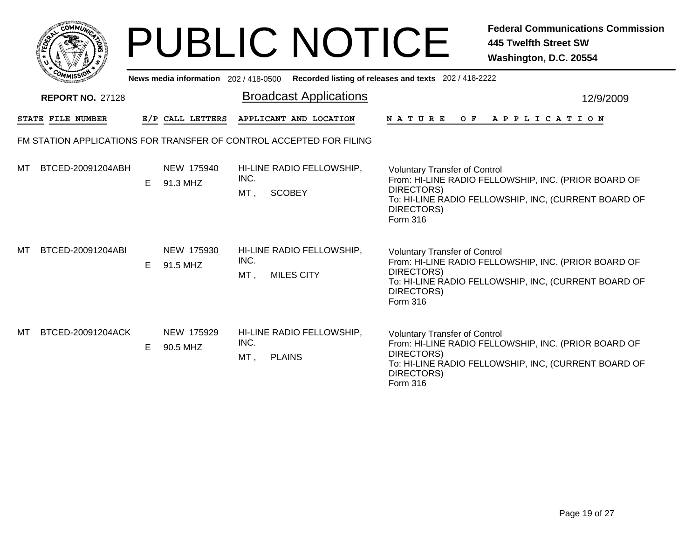|        | MMUNIC<br><b>CO</b> |  |
|--------|---------------------|--|
| క<br>ū |                     |  |
|        |                     |  |
|        | COMI<br>MISS        |  |

|    | <b>MMISSI</b><br>News media information 202 / 418-0500 Recorded listing of releases and texts 202 / 418-2222 |    |                        |                |                                                                     |                                                                                                                                                                                                     |  |  |  |
|----|--------------------------------------------------------------------------------------------------------------|----|------------------------|----------------|---------------------------------------------------------------------|-----------------------------------------------------------------------------------------------------------------------------------------------------------------------------------------------------|--|--|--|
|    | <b>REPORT NO. 27128</b>                                                                                      |    |                        |                | <b>Broadcast Applications</b>                                       | 12/9/2009                                                                                                                                                                                           |  |  |  |
|    | <b>STATE FILE NUMBER</b>                                                                                     |    | E/P CALL LETTERS       |                | APPLICANT AND LOCATION                                              | <b>NATURE</b><br>O F<br>A P P L I C A T I O N                                                                                                                                                       |  |  |  |
|    |                                                                                                              |    |                        |                | FM STATION APPLICATIONS FOR TRANSFER OF CONTROL ACCEPTED FOR FILING |                                                                                                                                                                                                     |  |  |  |
| мт | BTCED-20091204ABH                                                                                            | E. | NEW 175940<br>91.3 MHZ | INC.<br>MT,    | HI-LINE RADIO FELLOWSHIP,<br><b>SCOBEY</b>                          | <b>Voluntary Transfer of Control</b><br>From: HI-LINE RADIO FELLOWSHIP, INC. (PRIOR BOARD OF<br>DIRECTORS)<br>To: HI-LINE RADIO FELLOWSHIP, INC, (CURRENT BOARD OF<br>DIRECTORS)<br><b>Form 316</b> |  |  |  |
| мт | BTCED-20091204ABI                                                                                            | E. | NEW 175930<br>91.5 MHZ | INC.<br>$MT$ . | HI-LINE RADIO FELLOWSHIP,<br><b>MILES CITY</b>                      | <b>Voluntary Transfer of Control</b><br>From: HI-LINE RADIO FELLOWSHIP, INC. (PRIOR BOARD OF<br>DIRECTORS)<br>To: HI-LINE RADIO FELLOWSHIP, INC, (CURRENT BOARD OF<br>DIRECTORS)<br><b>Form 316</b> |  |  |  |
| MT | BTCED-20091204ACK                                                                                            | E. | NEW 175929<br>90.5 MHZ | INC.<br>MT,    | HI-LINE RADIO FELLOWSHIP,<br><b>PLAINS</b>                          | <b>Voluntary Transfer of Control</b><br>From: HI-LINE RADIO FELLOWSHIP, INC. (PRIOR BOARD OF<br>DIRECTORS)<br>To: HI-LINE RADIO FELLOWSHIP, INC, (CURRENT BOARD OF<br>DIRECTORS)<br>Form 316        |  |  |  |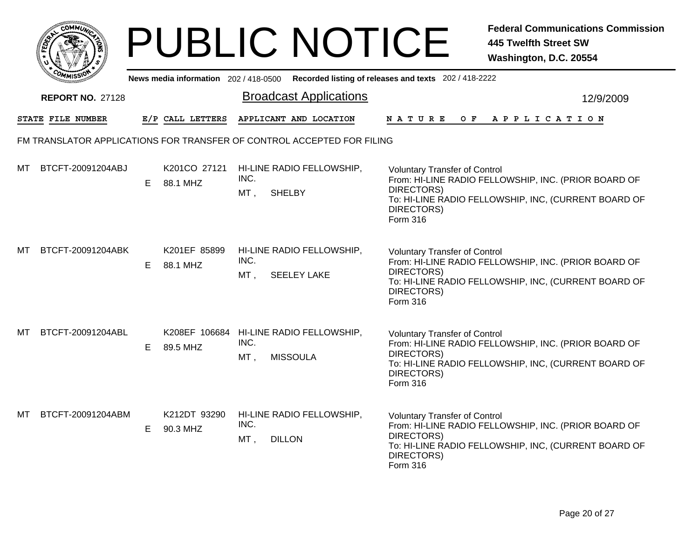|     |                         |    |                                       | <b>PUBLIC NOTICE</b>                                                      |                                                                              | <b>Federal Communications Commission</b><br><b>445 Twelfth Street SW</b><br>Washington, D.C. 20554           |
|-----|-------------------------|----|---------------------------------------|---------------------------------------------------------------------------|------------------------------------------------------------------------------|--------------------------------------------------------------------------------------------------------------|
|     |                         |    | News media information 202 / 418-0500 |                                                                           | Recorded listing of releases and texts 202 / 418-2222                        |                                                                                                              |
|     | <b>REPORT NO. 27128</b> |    |                                       | <b>Broadcast Applications</b>                                             |                                                                              | 12/9/2009                                                                                                    |
|     | STATE FILE NUMBER       |    | E/P CALL LETTERS                      | APPLICANT AND LOCATION                                                    | N A T U R E<br>O F                                                           | A P P L I C A T I O N                                                                                        |
|     |                         |    |                                       | FM TRANSLATOR APPLICATIONS FOR TRANSFER OF CONTROL ACCEPTED FOR FILING    |                                                                              |                                                                                                              |
| МT  | BTCFT-20091204ABJ       | E. | K201CO 27121<br>88.1 MHZ              | HI-LINE RADIO FELLOWSHIP,<br>INC.<br>MT,<br><b>SHELBY</b>                 | <b>Voluntary Transfer of Control</b><br>DIRECTORS)<br>DIRECTORS)<br>Form 316 | From: HI-LINE RADIO FELLOWSHIP, INC. (PRIOR BOARD OF<br>To: HI-LINE RADIO FELLOWSHIP, INC, (CURRENT BOARD OF |
| мт  | BTCFT-20091204ABK       | E. | K201EF 85899<br>88.1 MHZ              | HI-LINE RADIO FELLOWSHIP,<br>INC.<br>MT,<br><b>SEELEY LAKE</b>            | <b>Voluntary Transfer of Control</b><br>DIRECTORS)<br>DIRECTORS)<br>Form 316 | From: HI-LINE RADIO FELLOWSHIP, INC. (PRIOR BOARD OF<br>To: HI-LINE RADIO FELLOWSHIP, INC, (CURRENT BOARD OF |
| MТ  | BTCFT-20091204ABL       | E. | 89.5 MHZ                              | K208EF 106684 HI-LINE RADIO FELLOWSHIP,<br>INC.<br>MT,<br><b>MISSOULA</b> | <b>Voluntary Transfer of Control</b><br>DIRECTORS)<br>DIRECTORS)<br>Form 316 | From: HI-LINE RADIO FELLOWSHIP, INC. (PRIOR BOARD OF<br>To: HI-LINE RADIO FELLOWSHIP, INC, (CURRENT BOARD OF |
| MT. | BTCFT-20091204ABM       | E. | K212DT 93290<br>90.3 MHZ              | HI-LINE RADIO FELLOWSHIP,<br>INC.<br>MT,<br><b>DILLON</b>                 | <b>Voluntary Transfer of Control</b><br>DIRECTORS)<br>DIRECTORS)<br>Form 316 | From: HI-LINE RADIO FELLOWSHIP, INC. (PRIOR BOARD OF<br>To: HI-LINE RADIO FELLOWSHIP, INC, (CURRENT BOARD OF |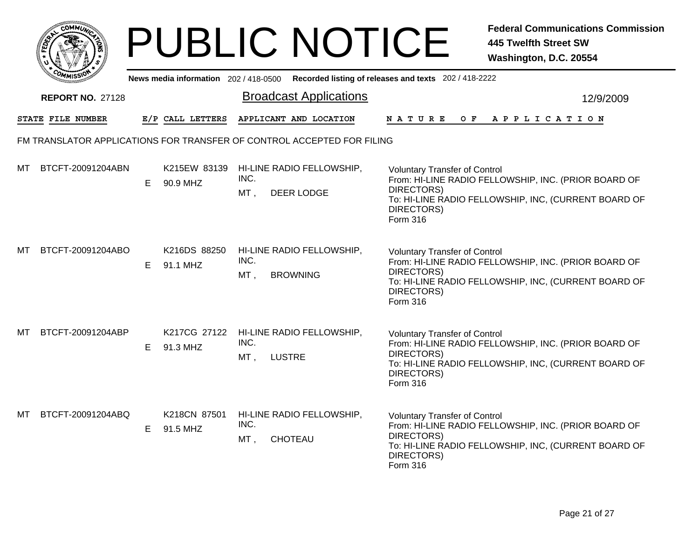|     | <b>OMMUA</b>                                                           |    |                                     |                                                             | <b>PUBLIC NOTICE</b>          |                                                                                     | <b>Federal Communications Commission</b><br><b>445 Twelfth Street SW</b><br>Washington, D.C. 20554           |  |  |  |
|-----|------------------------------------------------------------------------|----|-------------------------------------|-------------------------------------------------------------|-------------------------------|-------------------------------------------------------------------------------------|--------------------------------------------------------------------------------------------------------------|--|--|--|
|     |                                                                        |    | News media information 202/418-0500 |                                                             |                               | Recorded listing of releases and texts 202/418-2222                                 |                                                                                                              |  |  |  |
|     | <b>REPORT NO. 27128</b>                                                |    |                                     |                                                             | <b>Broadcast Applications</b> |                                                                                     | 12/9/2009                                                                                                    |  |  |  |
|     | STATE FILE NUMBER                                                      |    | E/P CALL LETTERS                    | APPLICANT AND LOCATION                                      |                               | <b>NATURE</b><br>O F                                                                | A P P L I C A T I O N                                                                                        |  |  |  |
|     | FM TRANSLATOR APPLICATIONS FOR TRANSFER OF CONTROL ACCEPTED FOR FILING |    |                                     |                                                             |                               |                                                                                     |                                                                                                              |  |  |  |
| MТ  | BTCFT-20091204ABN                                                      | E. | K215EW 83139<br>90.9 MHZ            | HI-LINE RADIO FELLOWSHIP,<br>INC.<br>MT,<br>DEER LODGE      |                               | <b>Voluntary Transfer of Control</b><br>DIRECTORS)<br>DIRECTORS)<br><b>Form 316</b> | From: HI-LINE RADIO FELLOWSHIP, INC. (PRIOR BOARD OF<br>To: HI-LINE RADIO FELLOWSHIP, INC, (CURRENT BOARD OF |  |  |  |
| мт  | BTCFT-20091204ABO                                                      | E  | K216DS 88250<br>91.1 MHZ            | HI-LINE RADIO FELLOWSHIP,<br>INC.<br>MT,<br><b>BROWNING</b> |                               | <b>Voluntary Transfer of Control</b><br>DIRECTORS)<br>DIRECTORS)<br><b>Form 316</b> | From: HI-LINE RADIO FELLOWSHIP, INC. (PRIOR BOARD OF<br>To: HI-LINE RADIO FELLOWSHIP, INC, (CURRENT BOARD OF |  |  |  |
| MТ  | BTCFT-20091204ABP                                                      | E  | K217CG 27122<br>91.3 MHZ            | HI-LINE RADIO FELLOWSHIP,<br>INC.<br>MT,<br><b>LUSTRE</b>   |                               | <b>Voluntary Transfer of Control</b><br>DIRECTORS)<br>DIRECTORS)<br>Form 316        | From: HI-LINE RADIO FELLOWSHIP, INC. (PRIOR BOARD OF<br>To: HI-LINE RADIO FELLOWSHIP, INC, (CURRENT BOARD OF |  |  |  |
| MT. | BTCFT-20091204ABQ                                                      | E. | K218CN 87501<br>91.5 MHZ            | HI-LINE RADIO FELLOWSHIP,<br>INC.<br>MT,<br>CHOTEAU         |                               | <b>Voluntary Transfer of Control</b><br>DIRECTORS)<br>DIRECTORS)<br>Form 316        | From: HI-LINE RADIO FELLOWSHIP, INC. (PRIOR BOARD OF<br>To: HI-LINE RADIO FELLOWSHIP, INC, (CURRENT BOARD OF |  |  |  |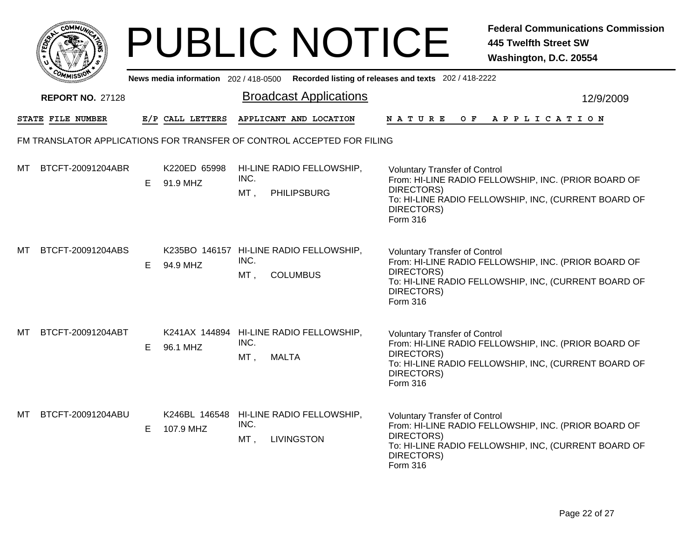|    | <b>0ММий</b> :                                                         |    |                                     |                             | <b>PUBLIC NOTICE</b>                                       |                                                                              | <b>Federal Communications Commission</b><br><b>445 Twelfth Street SW</b><br>Washington, D.C. 20554           |  |  |
|----|------------------------------------------------------------------------|----|-------------------------------------|-----------------------------|------------------------------------------------------------|------------------------------------------------------------------------------|--------------------------------------------------------------------------------------------------------------|--|--|
|    |                                                                        |    | News media information 202/418-0500 |                             |                                                            | Recorded listing of releases and texts 202/418-2222                          |                                                                                                              |  |  |
|    | <b>REPORT NO. 27128</b>                                                |    |                                     |                             | <b>Broadcast Applications</b>                              |                                                                              | 12/9/2009                                                                                                    |  |  |
|    | STATE FILE NUMBER                                                      |    | E/P CALL LETTERS                    |                             | APPLICANT AND LOCATION                                     | N A T U R E<br>O F                                                           | A P P L I C A T I O N                                                                                        |  |  |
|    | FM TRANSLATOR APPLICATIONS FOR TRANSFER OF CONTROL ACCEPTED FOR FILING |    |                                     |                             |                                                            |                                                                              |                                                                                                              |  |  |
| MТ | BTCFT-20091204ABR                                                      | E. | K220ED 65998<br>91.9 MHZ            | INC.<br>MT,                 | HI-LINE RADIO FELLOWSHIP.<br><b>PHILIPSBURG</b>            | <b>Voluntary Transfer of Control</b><br>DIRECTORS)<br>DIRECTORS)<br>Form 316 | From: HI-LINE RADIO FELLOWSHIP, INC. (PRIOR BOARD OF<br>To: HI-LINE RADIO FELLOWSHIP, INC, (CURRENT BOARD OF |  |  |
| MТ | BTCFT-20091204ABS                                                      | E. | 94.9 MHZ                            | INC.<br>$MT$ ,              | K235BO 146157 HI-LINE RADIO FELLOWSHIP,<br><b>COLUMBUS</b> | <b>Voluntary Transfer of Control</b><br>DIRECTORS)<br>DIRECTORS)<br>Form 316 | From: HI-LINE RADIO FELLOWSHIP, INC. (PRIOR BOARD OF<br>To: HI-LINE RADIO FELLOWSHIP, INC, (CURRENT BOARD OF |  |  |
| MТ | BTCFT-20091204ABT                                                      | E. | 96.1 MHZ                            | INC.<br>MT,<br><b>MALTA</b> | K241AX 144894 HI-LINE RADIO FELLOWSHIP,                    | <b>Voluntary Transfer of Control</b><br>DIRECTORS)<br>DIRECTORS)<br>Form 316 | From: HI-LINE RADIO FELLOWSHIP, INC. (PRIOR BOARD OF<br>To: HI-LINE RADIO FELLOWSHIP, INC, (CURRENT BOARD OF |  |  |
| MТ | BTCFT-20091204ABU                                                      | E. | K246BL 146548<br>107.9 MHZ          | INC.<br>MT,                 | HI-LINE RADIO FELLOWSHIP,<br><b>LIVINGSTON</b>             | <b>Voluntary Transfer of Control</b><br>DIRECTORS)<br>DIRECTORS)<br>Form 316 | From: HI-LINE RADIO FELLOWSHIP, INC. (PRIOR BOARD OF<br>To: HI-LINE RADIO FELLOWSHIP, INC, (CURRENT BOARD OF |  |  |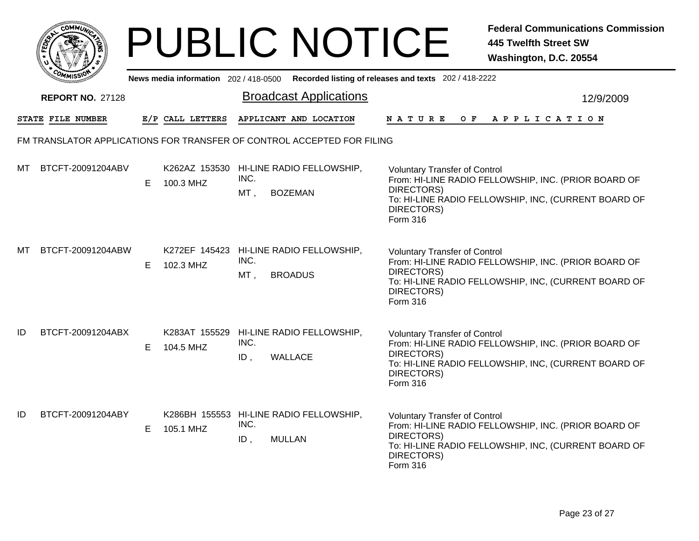|                                                                        |                         |    |                                       | <b>PUBLIC NOTICE</b>                                                        |                                                                              | <b>Federal Communications Commission</b><br><b>445 Twelfth Street SW</b><br>Washington, D.C. 20554           |  |  |
|------------------------------------------------------------------------|-------------------------|----|---------------------------------------|-----------------------------------------------------------------------------|------------------------------------------------------------------------------|--------------------------------------------------------------------------------------------------------------|--|--|
|                                                                        |                         |    | News media information 202 / 418-0500 |                                                                             | Recorded listing of releases and texts 202 / 418-2222                        |                                                                                                              |  |  |
|                                                                        | <b>REPORT NO. 27128</b> |    |                                       | <b>Broadcast Applications</b>                                               |                                                                              | 12/9/2009                                                                                                    |  |  |
|                                                                        | STATE FILE NUMBER       |    | E/P CALL LETTERS                      | APPLICANT AND LOCATION                                                      | N A T U R E<br>O F                                                           | A P P L I C A T I O N                                                                                        |  |  |
| FM TRANSLATOR APPLICATIONS FOR TRANSFER OF CONTROL ACCEPTED FOR FILING |                         |    |                                       |                                                                             |                                                                              |                                                                                                              |  |  |
| мт                                                                     | BTCFT-20091204ABV       | E. | 100.3 MHZ                             | K262AZ 153530 HI-LINE RADIO FELLOWSHIP,<br>INC.<br>MT,<br><b>BOZEMAN</b>    | <b>Voluntary Transfer of Control</b><br>DIRECTORS)<br>DIRECTORS)<br>Form 316 | From: HI-LINE RADIO FELLOWSHIP, INC. (PRIOR BOARD OF<br>To: HI-LINE RADIO FELLOWSHIP, INC, (CURRENT BOARD OF |  |  |
| мт                                                                     | BTCFT-20091204ABW       | E  | 102.3 MHZ                             | K272EF 145423 HI-LINE RADIO FELLOWSHIP,<br>INC.<br>$MT$ ,<br><b>BROADUS</b> | <b>Voluntary Transfer of Control</b><br>DIRECTORS)<br>DIRECTORS)<br>Form 316 | From: HI-LINE RADIO FELLOWSHIP, INC. (PRIOR BOARD OF<br>To: HI-LINE RADIO FELLOWSHIP, INC, (CURRENT BOARD OF |  |  |
| ID                                                                     | BTCFT-20091204ABX       | E. | 104.5 MHZ                             | K283AT 155529 HI-LINE RADIO FELLOWSHIP,<br>INC.<br>WALLACE<br>ID,           | <b>Voluntary Transfer of Control</b><br>DIRECTORS)<br>DIRECTORS)<br>Form 316 | From: HI-LINE RADIO FELLOWSHIP, INC. (PRIOR BOARD OF<br>To: HI-LINE RADIO FELLOWSHIP, INC, (CURRENT BOARD OF |  |  |
| ID                                                                     | BTCFT-20091204ABY       | E. | 105.1 MHZ                             | K286BH 155553 HI-LINE RADIO FELLOWSHIP,<br>INC.<br>ID,<br><b>MULLAN</b>     | <b>Voluntary Transfer of Control</b><br>DIRECTORS)<br>DIRECTORS)<br>Form 316 | From: HI-LINE RADIO FELLOWSHIP, INC. (PRIOR BOARD OF<br>To: HI-LINE RADIO FELLOWSHIP, INC, (CURRENT BOARD OF |  |  |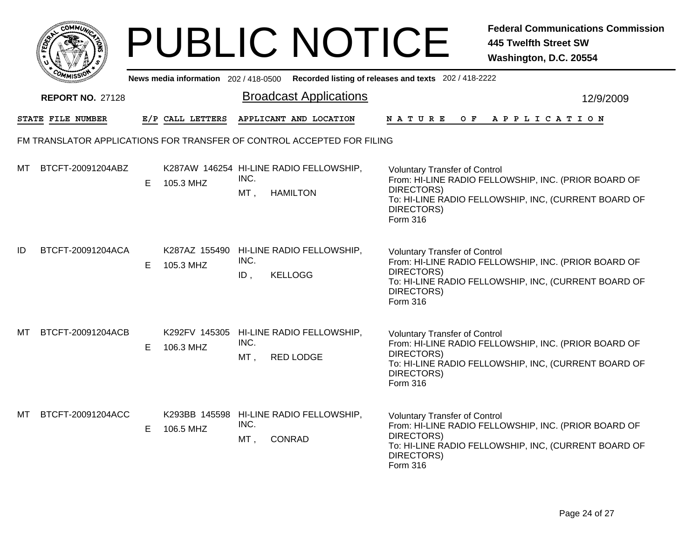|     |                                                                        |    |                                     | <b>PUBLIC NOTICE</b>                                                       |                                                                              | <b>Federal Communications Commission</b><br><b>445 Twelfth Street SW</b><br>Washington, D.C. 20554           |  |  |  |
|-----|------------------------------------------------------------------------|----|-------------------------------------|----------------------------------------------------------------------------|------------------------------------------------------------------------------|--------------------------------------------------------------------------------------------------------------|--|--|--|
|     |                                                                        |    | News media information 202/418-0500 |                                                                            | Recorded listing of releases and texts 202/418-2222                          |                                                                                                              |  |  |  |
|     | <b>REPORT NO. 27128</b>                                                |    |                                     | <b>Broadcast Applications</b>                                              |                                                                              | 12/9/2009                                                                                                    |  |  |  |
|     | STATE FILE NUMBER                                                      |    | E/P CALL LETTERS                    | APPLICANT AND LOCATION                                                     | <b>NATURE</b><br>O F                                                         | A P P L I C A T I O N                                                                                        |  |  |  |
|     | FM TRANSLATOR APPLICATIONS FOR TRANSFER OF CONTROL ACCEPTED FOR FILING |    |                                     |                                                                            |                                                                              |                                                                                                              |  |  |  |
| мт  | BTCFT-20091204ABZ                                                      | E. | 105.3 MHZ                           | K287AW 146254 HI-LINE RADIO FELLOWSHIP,<br>INC.<br>MT,<br><b>HAMILTON</b>  | <b>Voluntary Transfer of Control</b><br>DIRECTORS)<br>DIRECTORS)<br>Form 316 | From: HI-LINE RADIO FELLOWSHIP, INC. (PRIOR BOARD OF<br>To: HI-LINE RADIO FELLOWSHIP, INC, (CURRENT BOARD OF |  |  |  |
| ID  | BTCFT-20091204ACA                                                      | E. | 105.3 MHZ                           | K287AZ 155490 HI-LINE RADIO FELLOWSHIP,<br>INC.<br>ID,<br><b>KELLOGG</b>   | <b>Voluntary Transfer of Control</b><br>DIRECTORS)<br>DIRECTORS)<br>Form 316 | From: HI-LINE RADIO FELLOWSHIP, INC. (PRIOR BOARD OF<br>To: HI-LINE RADIO FELLOWSHIP, INC, (CURRENT BOARD OF |  |  |  |
| мт  | BTCFT-20091204ACB                                                      | E. | 106.3 MHZ                           | K292FV 145305 HI-LINE RADIO FELLOWSHIP,<br>INC.<br>MT,<br><b>RED LODGE</b> | <b>Voluntary Transfer of Control</b><br>DIRECTORS)<br>DIRECTORS)<br>Form 316 | From: HI-LINE RADIO FELLOWSHIP, INC. (PRIOR BOARD OF<br>To: HI-LINE RADIO FELLOWSHIP, INC, (CURRENT BOARD OF |  |  |  |
| MT. | BTCFT-20091204ACC                                                      | E. | 106.5 MHZ                           | K293BB 145598 HI-LINE RADIO FELLOWSHIP,<br>INC.<br>MT,<br><b>CONRAD</b>    | <b>Voluntary Transfer of Control</b><br>DIRECTORS)<br>DIRECTORS)<br>Form 316 | From: HI-LINE RADIO FELLOWSHIP, INC. (PRIOR BOARD OF<br>To: HI-LINE RADIO FELLOWSHIP, INC, (CURRENT BOARD OF |  |  |  |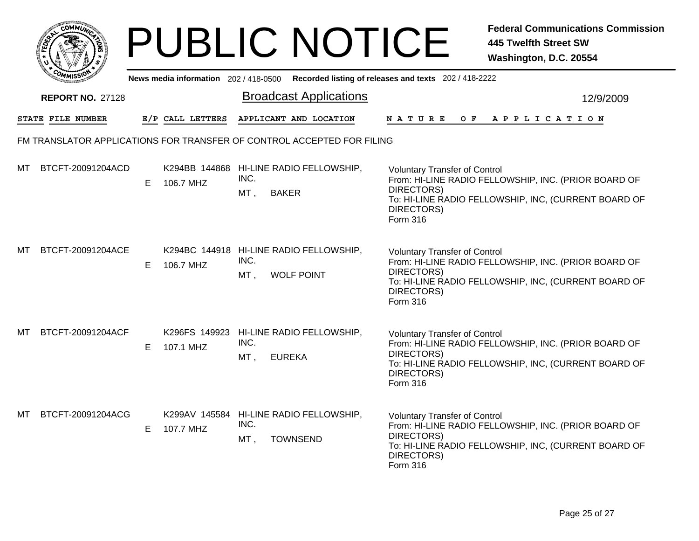|    |                                                                        |    |                                       | <b>PUBLIC NOTICE</b>                                                        |                                                                              | <b>Federal Communications Commission</b><br><b>445 Twelfth Street SW</b><br>Washington, D.C. 20554           |  |  |  |
|----|------------------------------------------------------------------------|----|---------------------------------------|-----------------------------------------------------------------------------|------------------------------------------------------------------------------|--------------------------------------------------------------------------------------------------------------|--|--|--|
|    |                                                                        |    | News media information $202/418-0500$ |                                                                             | Recorded listing of releases and texts 202/418-2222                          |                                                                                                              |  |  |  |
|    | <b>REPORT NO. 27128</b>                                                |    |                                       | <b>Broadcast Applications</b>                                               |                                                                              | 12/9/2009                                                                                                    |  |  |  |
|    | <b>STATE FILE NUMBER</b>                                               |    | E/P CALL LETTERS                      | APPLICANT AND LOCATION                                                      | <b>NATURE</b><br>O F                                                         | A P P L I C A T I O N                                                                                        |  |  |  |
|    | FM TRANSLATOR APPLICATIONS FOR TRANSFER OF CONTROL ACCEPTED FOR FILING |    |                                       |                                                                             |                                                                              |                                                                                                              |  |  |  |
| МT | BTCFT-20091204ACD                                                      | E. | 106.7 MHZ                             | K294BB 144868 HI-LINE RADIO FELLOWSHIP,<br>INC.<br>MT,<br><b>BAKER</b>      | <b>Voluntary Transfer of Control</b><br>DIRECTORS)<br>DIRECTORS)<br>Form 316 | From: HI-LINE RADIO FELLOWSHIP, INC. (PRIOR BOARD OF<br>To: HI-LINE RADIO FELLOWSHIP, INC, (CURRENT BOARD OF |  |  |  |
| МT | BTCFT-20091204ACE                                                      | E. | 106.7 MHZ                             | K294BC 144918 HI-LINE RADIO FELLOWSHIP,<br>INC.<br>MT,<br><b>WOLF POINT</b> | <b>Voluntary Transfer of Control</b><br>DIRECTORS)<br>DIRECTORS)<br>Form 316 | From: HI-LINE RADIO FELLOWSHIP, INC. (PRIOR BOARD OF<br>To: HI-LINE RADIO FELLOWSHIP, INC, (CURRENT BOARD OF |  |  |  |
| MТ | BTCFT-20091204ACF                                                      | E. | 107.1 MHZ                             | K296FS 149923 HI-LINE RADIO FELLOWSHIP,<br>INC.<br>MT,<br><b>EUREKA</b>     | <b>Voluntary Transfer of Control</b><br>DIRECTORS)<br>DIRECTORS)<br>Form 316 | From: HI-LINE RADIO FELLOWSHIP, INC. (PRIOR BOARD OF<br>To: HI-LINE RADIO FELLOWSHIP, INC, (CURRENT BOARD OF |  |  |  |
| МT | BTCFT-20091204ACG                                                      | E. | 107.7 MHZ                             | K299AV 145584 HI-LINE RADIO FELLOWSHIP,<br>INC.<br>MT,<br><b>TOWNSEND</b>   | <b>Voluntary Transfer of Control</b><br>DIRECTORS)<br>DIRECTORS)<br>Form 316 | From: HI-LINE RADIO FELLOWSHIP, INC. (PRIOR BOARD OF<br>To: HI-LINE RADIO FELLOWSHIP, INC, (CURRENT BOARD OF |  |  |  |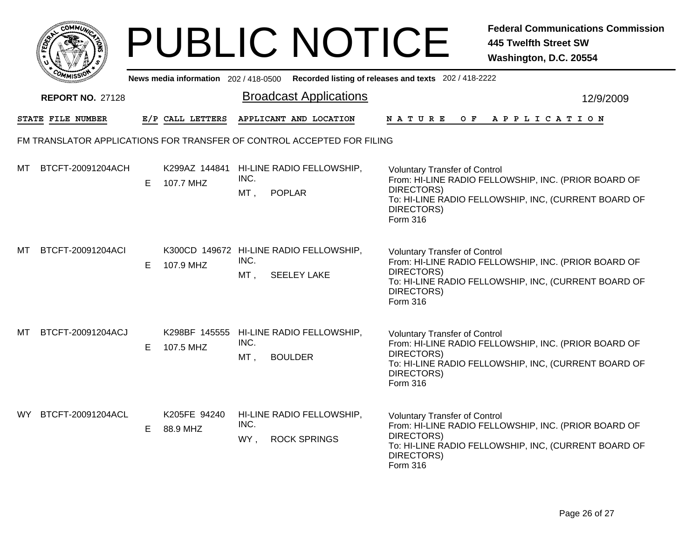|      | OMMI)                                                                  |    |                                       | <b>PUBLIC NOTICE</b>                                                         |  |                                                                              | <b>Federal Communications Commission</b><br><b>445 Twelfth Street SW</b><br>Washington, D.C. 20554           |  |  |
|------|------------------------------------------------------------------------|----|---------------------------------------|------------------------------------------------------------------------------|--|------------------------------------------------------------------------------|--------------------------------------------------------------------------------------------------------------|--|--|
|      |                                                                        |    | News media information 202 / 418-0500 |                                                                              |  | Recorded listing of releases and texts 202 / 418-2222                        |                                                                                                              |  |  |
|      | <b>REPORT NO. 27128</b>                                                |    |                                       | <b>Broadcast Applications</b>                                                |  |                                                                              | 12/9/2009                                                                                                    |  |  |
|      | STATE FILE NUMBER                                                      |    | E/P CALL LETTERS                      | APPLICANT AND LOCATION                                                       |  | <b>NATURE</b><br>O F                                                         | APPLICATION                                                                                                  |  |  |
|      | FM TRANSLATOR APPLICATIONS FOR TRANSFER OF CONTROL ACCEPTED FOR FILING |    |                                       |                                                                              |  |                                                                              |                                                                                                              |  |  |
| мт   | BTCFT-20091204ACH                                                      | E. | K299AZ 144841<br>107.7 MHZ            | HI-LINE RADIO FELLOWSHIP,<br>INC.<br>$MT$ ,<br><b>POPLAR</b>                 |  | <b>Voluntary Transfer of Control</b><br>DIRECTORS)<br>DIRECTORS)<br>Form 316 | From: HI-LINE RADIO FELLOWSHIP, INC. (PRIOR BOARD OF<br>To: HI-LINE RADIO FELLOWSHIP, INC, (CURRENT BOARD OF |  |  |
| мт   | BTCFT-20091204ACI                                                      | E. | 107.9 MHZ                             | K300CD 149672 HI-LINE RADIO FELLOWSHIP,<br>INC.<br>MT,<br><b>SEELEY LAKE</b> |  | <b>Voluntary Transfer of Control</b><br>DIRECTORS)<br>DIRECTORS)<br>Form 316 | From: HI-LINE RADIO FELLOWSHIP, INC. (PRIOR BOARD OF<br>To: HI-LINE RADIO FELLOWSHIP, INC, (CURRENT BOARD OF |  |  |
| MТ   | BTCFT-20091204ACJ                                                      | E. | 107.5 MHZ                             | K298BF 145555 HI-LINE RADIO FELLOWSHIP,<br>INC.<br>MT,<br><b>BOULDER</b>     |  | <b>Voluntary Transfer of Control</b><br>DIRECTORS)<br>DIRECTORS)<br>Form 316 | From: HI-LINE RADIO FELLOWSHIP, INC. (PRIOR BOARD OF<br>To: HI-LINE RADIO FELLOWSHIP, INC, (CURRENT BOARD OF |  |  |
| WY . | BTCFT-20091204ACL                                                      | E. | K205FE 94240<br>88.9 MHZ              | HI-LINE RADIO FELLOWSHIP,<br>INC.<br>WY,<br><b>ROCK SPRINGS</b>              |  | <b>Voluntary Transfer of Control</b><br>DIRECTORS)<br>DIRECTORS)<br>Form 316 | From: HI-LINE RADIO FELLOWSHIP, INC. (PRIOR BOARD OF<br>To: HI-LINE RADIO FELLOWSHIP, INC, (CURRENT BOARD OF |  |  |